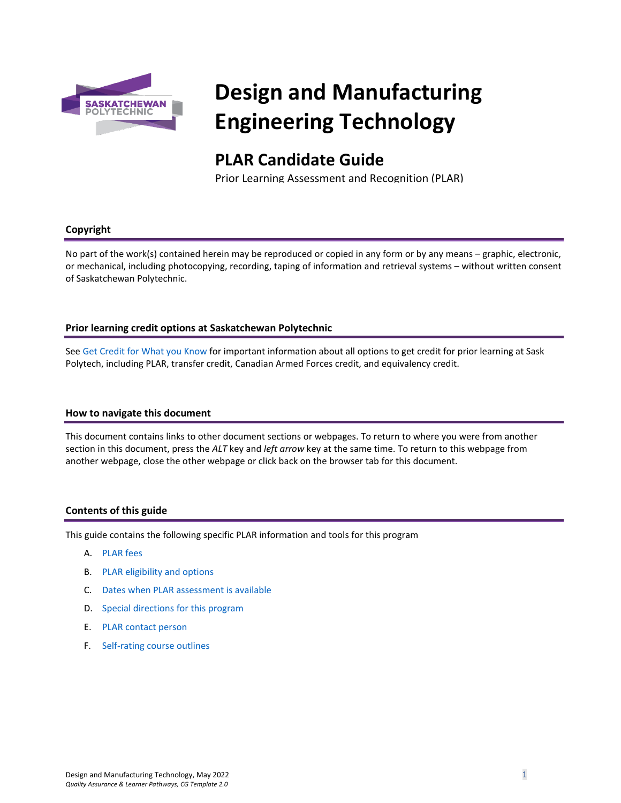

# **Design and Manufacturing Engineering Technology**

# **PLAR Candidate Guide**

Prior Learning Assessment and Recognition (PLAR)

#### **Copyright**

No part of the work(s) contained herein may be reproduced or copied in any form or by any means – graphic, electronic, or mechanical, including photocopying, recording, taping of information and retrieval systems – without written consent of Saskatchewan Polytechnic.

#### **Prior learning credit options at Saskatchewan Polytechnic**

Se[e Get Credit for What you Know](https://saskpolytech.ca/admissions/get-credit/) for important information about all options to get credit for prior learning at Sask Polytech, including PLAR, transfer credit, Canadian Armed Forces credit, and equivalency credit.

#### **How to navigate this document**

This document contains links to other document sections or webpages. To return to where you were from another section in this document, press the *ALT* key and *left arrow* key at the same time. To return to this webpage from another webpage, close the other webpage or click back on the browser tab for this document.

#### **Contents of this guide**

This guide contains the following specific PLAR information and tools for this program

- A. [PLAR fees](#page-1-0)
- B. [PLAR eligibility and options](#page-1-1)
- C. [Dates when PLAR assessment is available](#page-1-2)
- D. [Special directions for this program](#page-1-3)
- E. PLAR [contact person](#page-2-0)
- F. [Self-rating course outlines](#page-2-1)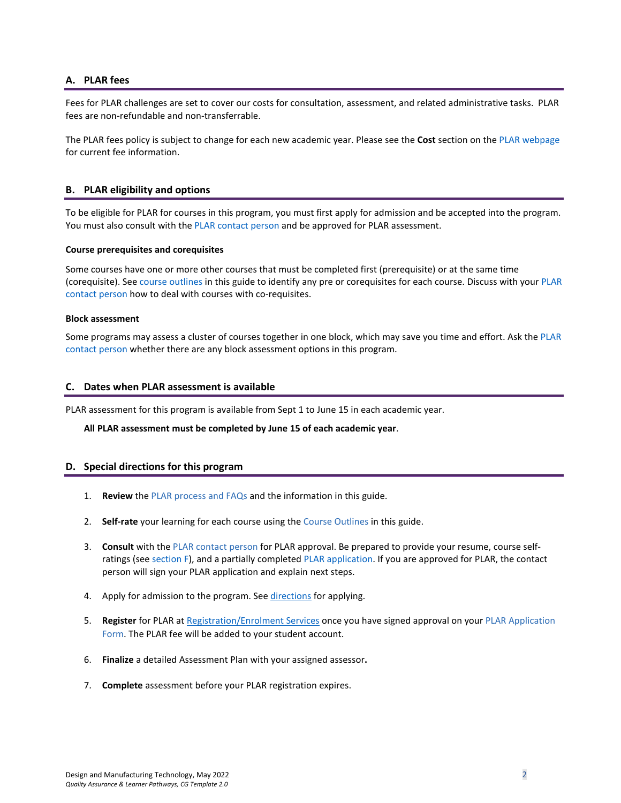#### <span id="page-1-0"></span>**A. PLAR fees**

Fees for PLAR challenges are set to cover our costs for consultation, assessment, and related administrative tasks. PLAR fees are non-refundable and non-transferrable.

<span id="page-1-1"></span>The PLAR fees policy is subject to change for each new academic year. Please see the **Cost** section on th[e PLAR webpage](https://saskpolytech.ca/admissions/get-credit/plar.aspx) for current fee information.

#### **B. PLAR eligibility and options**

To be eligible for PLAR for courses in this program, you must first apply for admission and be accepted into the program. You must also consult with th[e PLAR contact person](#page-2-0) and be approved for PLAR assessment.

#### **Course prerequisites and corequisites**

Some courses have one or more other courses that must be completed first (prerequisite) or at the same time (corequisite). See [course outlines](#page-2-1) in this guide to identify any pre or corequisites for each course. Discuss with you[r PLAR](#page-2-0)  [contact person](#page-2-0) how to deal with courses with co-requisites.

#### **Block assessment**

<span id="page-1-2"></span>Some programs may assess a cluster of courses together in one block, which may save you time and effort. Ask the PLAR [contact person](#page-2-0) whether there are any block assessment options in this program.

#### **C. Dates when PLAR assessment is available**

PLAR assessment for this program is available from Sept 1 to June 15 in each academic year.

#### <span id="page-1-3"></span>**All PLAR assessment must be completed by June 15 of each academic year**.

#### **D. Special directions for this program**

- 1. **Review** the [PLAR process and FAQs](https://saskpolytech.ca/admissions/get-credit/plar.aspx) and the information in this guide.
- 2. **Self-rate** your learning for each course using the Course Outlines in this guide.
- 3. **Consult** with the [PLAR contact person](#page-2-0) for PLAR approval. Be prepared to provide your resume, course selfratings (see [section F\)](#page-2-1), and a partially complete[d PLAR application.](https://saskpolytech.ca/admissions/resources/documents/plar-application-form.pdf) If you are approved for PLAR, the contact person will sign your PLAR application and explain next steps.
- 4. Apply for admission to the program. See directions for applying.
- 5. **Register** for PLAR at [Registration/Enrolment Services](https://saskpolytech.ca/admissions/resources/contact-us.aspx) once you have signed approval on your [PLAR Application](http://saskpolytech.ca/admissions/resources/documents/plar-application-form.pdf)  [Form.](http://saskpolytech.ca/admissions/resources/documents/plar-application-form.pdf) The PLAR fee will be added to your student account.
- 6. **Finalize** a detailed Assessment Plan with your assigned assessor**.**
- 7. **Complete** assessment before your PLAR registration expires.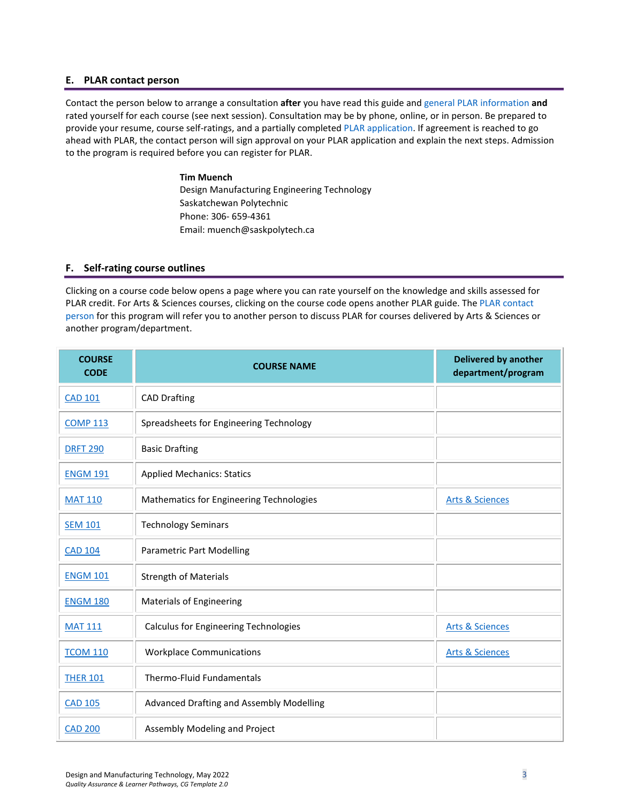#### <span id="page-2-0"></span>**E. PLAR contact person**

Contact the person below to arrange a consultation **after** you have read this guide an[d general PLAR information](http://saskpolytech.ca/admissions/resources/prior-learning-process.aspx) **and** rated yourself for each course (see next session). Consultation may be by phone, online, or in person. Be prepared to provide your resume, course self-ratings, and a partially completed [PLAR application.](https://saskpolytech.ca/admissions/resources/documents/plar-application-form.pdf#search=PLAR%20application) If agreement is reached to go ahead with PLAR, the contact person will sign approval on your PLAR application and explain the next steps. Admission to the program is required before you can register for PLAR.

> **Tim Muench** Design Manufacturing Engineering Technology Saskatchewan Polytechnic Phone: 306- 659-4361 Email: muench@saskpolytech.ca

#### **F. Self-rating course outlines**

Clicking on a course code below opens a page where you can rate yourself on the knowledge and skills assessed for PLAR credit. For Arts & Sciences courses, clicking on the course code opens another PLAR guide. The [PLAR contact](#page-2-0)  [person](#page-2-0) for this program will refer you to another person to discuss PLAR for courses delivered by Arts & Sciences or another program/department.

<span id="page-2-1"></span>

| <b>COURSE</b><br><b>CODE</b> | <b>COURSE NAME</b>                           | <b>Delivered by another</b><br>department/program |
|------------------------------|----------------------------------------------|---------------------------------------------------|
| <b>CAD 101</b>               | <b>CAD Drafting</b>                          |                                                   |
| <b>COMP 113</b>              | Spreadsheets for Engineering Technology      |                                                   |
| <b>DRFT 290</b>              | <b>Basic Drafting</b>                        |                                                   |
| <b>ENGM 191</b>              | <b>Applied Mechanics: Statics</b>            |                                                   |
| <b>MAT 110</b>               | Mathematics for Engineering Technologies     | <b>Arts &amp; Sciences</b>                        |
| <b>SEM 101</b>               | <b>Technology Seminars</b>                   |                                                   |
| <b>CAD 104</b>               | <b>Parametric Part Modelling</b>             |                                                   |
| <b>ENGM 101</b>              | <b>Strength of Materials</b>                 |                                                   |
| <b>ENGM 180</b>              | <b>Materials of Engineering</b>              |                                                   |
| <b>MAT 111</b>               | <b>Calculus for Engineering Technologies</b> | <b>Arts &amp; Sciences</b>                        |
| <b>TCOM 110</b>              | <b>Workplace Communications</b>              | <b>Arts &amp; Sciences</b>                        |
| <b>THER 101</b>              | Thermo-Fluid Fundamentals                    |                                                   |
| <b>CAD 105</b>               | Advanced Drafting and Assembly Modelling     |                                                   |
| <b>CAD 200</b>               | Assembly Modeling and Project                |                                                   |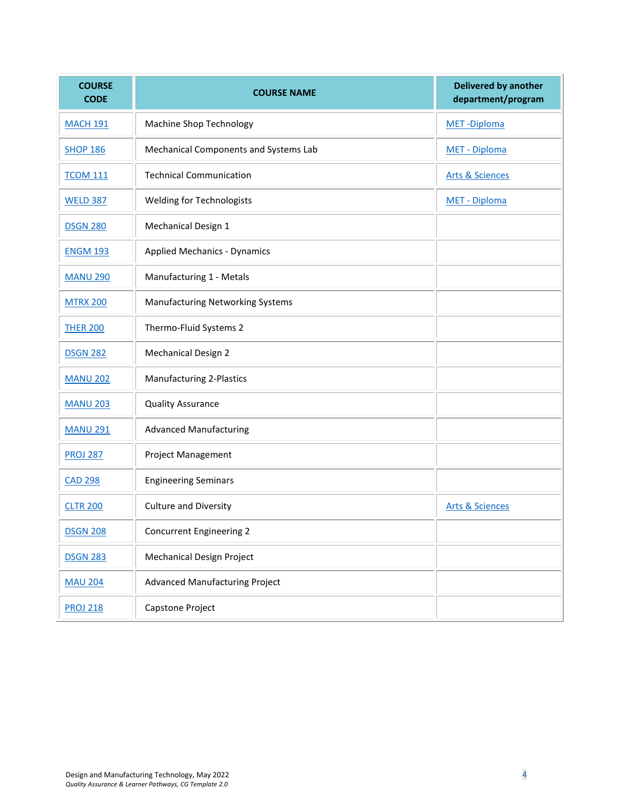| <b>COURSE</b><br><b>CODE</b> | <b>COURSE NAME</b>                      | <b>Delivered by another</b><br>department/program |
|------------------------------|-----------------------------------------|---------------------------------------------------|
| <b>MACH 191</b>              | Machine Shop Technology                 | MET-Diploma                                       |
| <b>SHOP 186</b>              | Mechanical Components and Systems Lab   | MET - Diploma                                     |
| <b>TCOM 111</b>              | <b>Technical Communication</b>          | <b>Arts &amp; Sciences</b>                        |
| <b>WELD 387</b>              | <b>Welding for Technologists</b>        | MET - Diploma                                     |
| <b>DSGN 280</b>              | Mechanical Design 1                     |                                                   |
| <b>ENGM 193</b>              | <b>Applied Mechanics - Dynamics</b>     |                                                   |
| <b>MANU 290</b>              | Manufacturing 1 - Metals                |                                                   |
| <b>MTRX 200</b>              | <b>Manufacturing Networking Systems</b> |                                                   |
| <b>THER 200</b>              | Thermo-Fluid Systems 2                  |                                                   |
| <b>DSGN 282</b>              | <b>Mechanical Design 2</b>              |                                                   |
| <b>MANU 202</b>              | Manufacturing 2-Plastics                |                                                   |
| <b>MANU 203</b>              | <b>Quality Assurance</b>                |                                                   |
| <b>MANU 291</b>              | <b>Advanced Manufacturing</b>           |                                                   |
| <b>PROJ 287</b>              | Project Management                      |                                                   |
| <b>CAD 298</b>               | <b>Engineering Seminars</b>             |                                                   |
| <b>CLTR 200</b>              | <b>Culture and Diversity</b>            | <b>Arts &amp; Sciences</b>                        |
| <b>DSGN 208</b>              | Concurrent Engineering 2                |                                                   |
| <b>DSGN 283</b>              | Mechanical Design Project               |                                                   |
| <b>MAU 204</b>               | <b>Advanced Manufacturing Project</b>   |                                                   |
| <b>PROJ 218</b>              | Capstone Project                        |                                                   |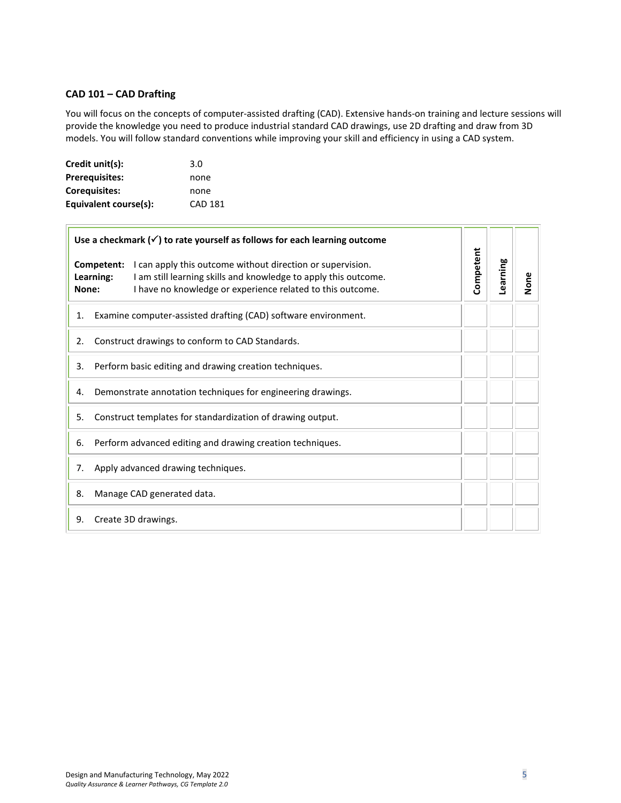#### <span id="page-4-0"></span>**CAD 101 – CAD Drafting**

 $\overline{1}$ 

You will focus on the concepts of computer-assisted drafting (CAD). Extensive hands-on training and lecture sessions will provide the knowledge you need to produce industrial standard CAD drawings, use 2D drafting and draw from 3D models. You will follow standard conventions while improving your skill and efficiency in using a CAD system.

| Credit unit(s):       | 3.0            |
|-----------------------|----------------|
| <b>Prerequisites:</b> | none           |
| Coreguisites:         | none           |
| Equivalent course(s): | <b>CAD 181</b> |

| Use a checkmark $(\checkmark)$ to rate yourself as follows for each learning outcome |                         |                                                                                                                                                                                             |           |          |      |
|--------------------------------------------------------------------------------------|-------------------------|---------------------------------------------------------------------------------------------------------------------------------------------------------------------------------------------|-----------|----------|------|
| None:                                                                                | Competent:<br>Learning: | I can apply this outcome without direction or supervision.<br>I am still learning skills and knowledge to apply this outcome.<br>I have no knowledge or experience related to this outcome. | Competent | Learning | None |
| 1.                                                                                   |                         | Examine computer-assisted drafting (CAD) software environment.                                                                                                                              |           |          |      |
| 2.                                                                                   |                         | Construct drawings to conform to CAD Standards.                                                                                                                                             |           |          |      |
| Perform basic editing and drawing creation techniques.<br>3.                         |                         |                                                                                                                                                                                             |           |          |      |
| 4.                                                                                   |                         | Demonstrate annotation techniques for engineering drawings.                                                                                                                                 |           |          |      |
| 5.                                                                                   |                         | Construct templates for standardization of drawing output.                                                                                                                                  |           |          |      |
| 6.                                                                                   |                         | Perform advanced editing and drawing creation techniques.                                                                                                                                   |           |          |      |
| 7.                                                                                   |                         | Apply advanced drawing techniques.                                                                                                                                                          |           |          |      |
| 8.                                                                                   |                         | Manage CAD generated data.                                                                                                                                                                  |           |          |      |
| 9.                                                                                   |                         | Create 3D drawings.                                                                                                                                                                         |           |          |      |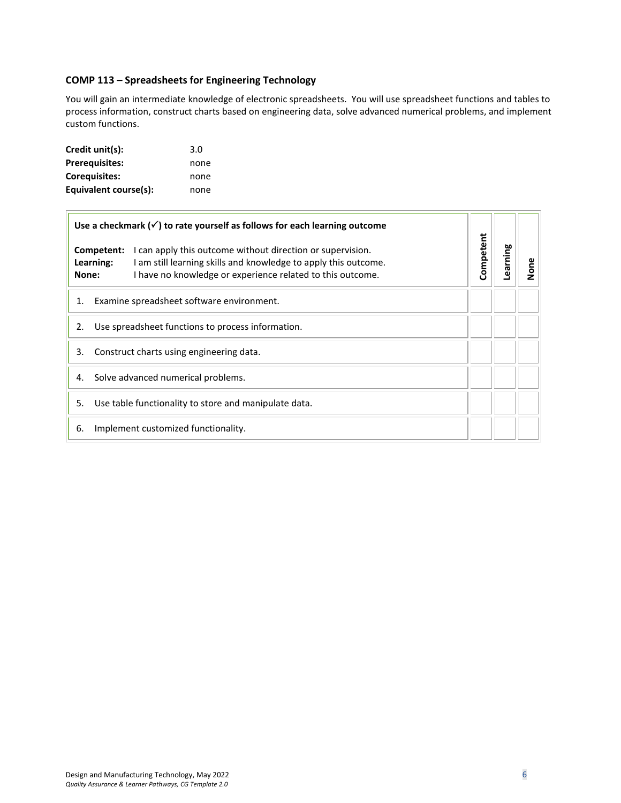# <span id="page-5-0"></span>**COMP 113 – Spreadsheets for Engineering Technology**

You will gain an intermediate knowledge of electronic spreadsheets. You will use spreadsheet functions and tables to process information, construct charts based on engineering data, solve advanced numerical problems, and implement custom functions.

| Credit unit(s):       | 3.0  |
|-----------------------|------|
| <b>Prerequisites:</b> | none |
| <b>Corequisites:</b>  | none |
| Equivalent course(s): | none |

| Use a checkmark $(\checkmark)$ to rate yourself as follows for each learning outcome                                                                                                                                            |           |          |      |
|---------------------------------------------------------------------------------------------------------------------------------------------------------------------------------------------------------------------------------|-----------|----------|------|
| Competent:<br>I can apply this outcome without direction or supervision.<br>Learning:<br>I am still learning skills and knowledge to apply this outcome.<br>I have no knowledge or experience related to this outcome.<br>None: | Competent | Learning | None |
| Examine spreadsheet software environment.<br>1.                                                                                                                                                                                 |           |          |      |
| Use spreadsheet functions to process information.<br>2.                                                                                                                                                                         |           |          |      |
| 3.<br>Construct charts using engineering data.                                                                                                                                                                                  |           |          |      |
| Solve advanced numerical problems.<br>4.                                                                                                                                                                                        |           |          |      |
| Use table functionality to store and manipulate data.<br>5.                                                                                                                                                                     |           |          |      |
| Implement customized functionality.<br>6.                                                                                                                                                                                       |           |          |      |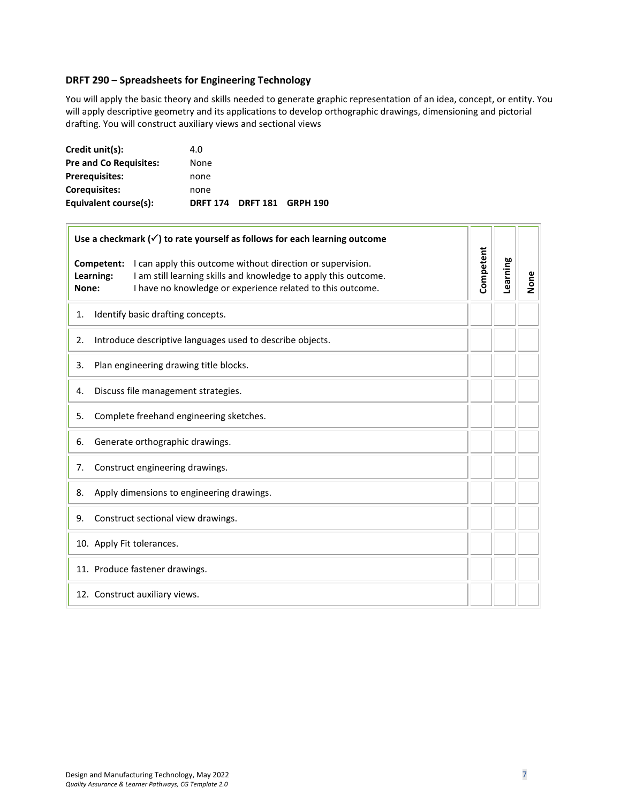#### <span id="page-6-0"></span>**DRFT 290 – Spreadsheets for Engineering Technology**

You will apply the basic theory and skills needed to generate graphic representation of an idea, concept, or entity. You will apply descriptive geometry and its applications to develop orthographic drawings, dimensioning and pictorial drafting. You will construct auxiliary views and sectional views

| Credit unit(s):               | 4.0  |                            |  |
|-------------------------------|------|----------------------------|--|
| <b>Pre and Co Requisites:</b> | None |                            |  |
| <b>Prerequisites:</b>         | none |                            |  |
| Coreguisites:                 | none |                            |  |
| Equivalent course(s):         |      | DRFT 174 DRFT 181 GRPH 190 |  |

 $\Box$ 

| Use a checkmark $(\checkmark)$ to rate yourself as follows for each learning outcome                                                                                                                                            |           |          |      |
|---------------------------------------------------------------------------------------------------------------------------------------------------------------------------------------------------------------------------------|-----------|----------|------|
| I can apply this outcome without direction or supervision.<br>Competent:<br>Learning:<br>I am still learning skills and knowledge to apply this outcome.<br>I have no knowledge or experience related to this outcome.<br>None: | Competent | Learning | None |
| Identify basic drafting concepts.<br>1.                                                                                                                                                                                         |           |          |      |
| Introduce descriptive languages used to describe objects.<br>2.                                                                                                                                                                 |           |          |      |
| Plan engineering drawing title blocks.<br>3.                                                                                                                                                                                    |           |          |      |
| Discuss file management strategies.<br>4.                                                                                                                                                                                       |           |          |      |
| Complete freehand engineering sketches.<br>5.                                                                                                                                                                                   |           |          |      |
| Generate orthographic drawings.<br>6.                                                                                                                                                                                           |           |          |      |
| Construct engineering drawings.<br>7.                                                                                                                                                                                           |           |          |      |
| Apply dimensions to engineering drawings.<br>8.                                                                                                                                                                                 |           |          |      |
| Construct sectional view drawings.<br>9.                                                                                                                                                                                        |           |          |      |
| 10. Apply Fit tolerances.                                                                                                                                                                                                       |           |          |      |
| 11. Produce fastener drawings.                                                                                                                                                                                                  |           |          |      |
| 12. Construct auxiliary views.                                                                                                                                                                                                  |           |          |      |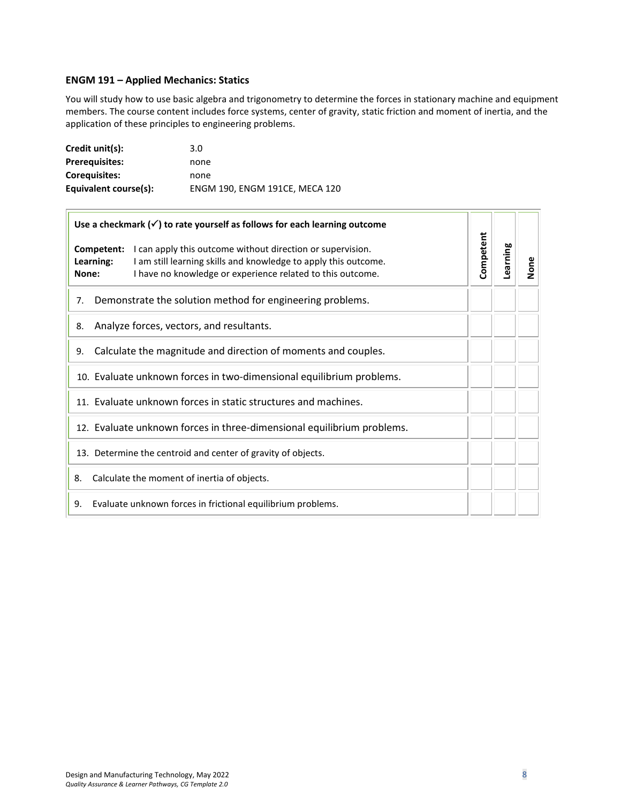# <span id="page-7-0"></span>**ENGM 191 – Applied Mechanics: Statics**

You will study how to use basic algebra and trigonometry to determine the forces in stationary machine and equipment members. The course content includes force systems, center of gravity, static friction and moment of inertia, and the application of these principles to engineering problems.

| Credit unit(s):       | 3.0                            |
|-----------------------|--------------------------------|
| <b>Prerequisites:</b> | none                           |
| <b>Corequisites:</b>  | none                           |
| Equivalent course(s): | ENGM 190, ENGM 191CE, MECA 120 |

| Use a checkmark $(\checkmark)$ to rate yourself as follows for each learning outcome                                                                                                                                                |           |          |      |
|-------------------------------------------------------------------------------------------------------------------------------------------------------------------------------------------------------------------------------------|-----------|----------|------|
| <b>Competent:</b> I can apply this outcome without direction or supervision.<br>I am still learning skills and knowledge to apply this outcome.<br>Learning:<br>I have no knowledge or experience related to this outcome.<br>None: | Competent | Learning | None |
| Demonstrate the solution method for engineering problems.<br>7.                                                                                                                                                                     |           |          |      |
| Analyze forces, vectors, and resultants.<br>8.                                                                                                                                                                                      |           |          |      |
| Calculate the magnitude and direction of moments and couples.<br>9.                                                                                                                                                                 |           |          |      |
| 10. Evaluate unknown forces in two-dimensional equilibrium problems.                                                                                                                                                                |           |          |      |
| 11. Evaluate unknown forces in static structures and machines.                                                                                                                                                                      |           |          |      |
| 12. Evaluate unknown forces in three-dimensional equilibrium problems.                                                                                                                                                              |           |          |      |
| 13. Determine the centroid and center of gravity of objects.                                                                                                                                                                        |           |          |      |
| Calculate the moment of inertia of objects.<br>8.                                                                                                                                                                                   |           |          |      |
| Evaluate unknown forces in frictional equilibrium problems.<br>9.                                                                                                                                                                   |           |          |      |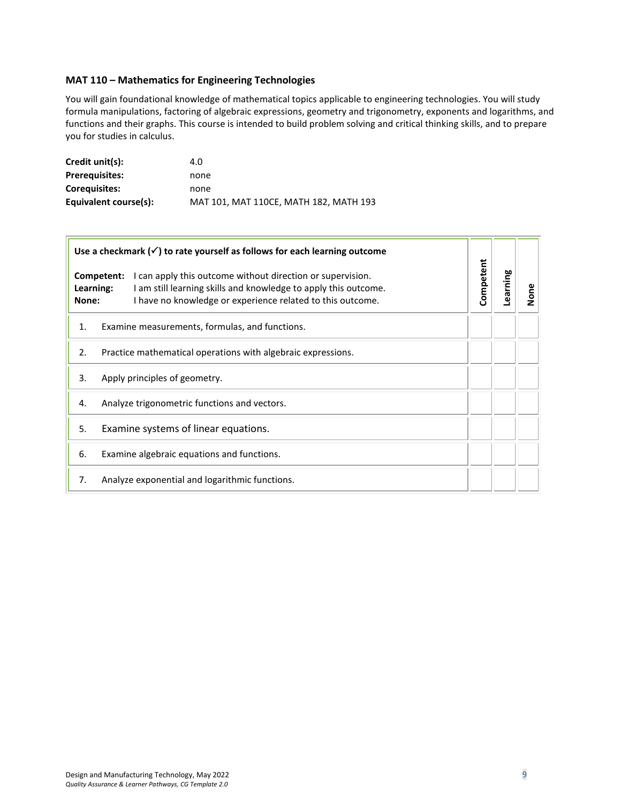#### <span id="page-8-0"></span>**MAT 110 – Mathematics for Engineering Technologies**

You will gain foundational knowledge of mathematical topics applicable to engineering technologies. You will study formula manipulations, factoring of algebraic expressions, geometry and trigonometry, exponents and logarithms, and functions and their graphs. This course is intended to build problem solving and critical thinking skills, and to prepare you for studies in calculus.

| Credit unit(s):       | 4.0                                    |
|-----------------------|----------------------------------------|
| <b>Prerequisites:</b> | none                                   |
| <b>Coreguisites:</b>  | none                                   |
| Equivalent course(s): | MAT 101, MAT 110CE, MATH 182, MATH 193 |

|                                                                    | Use a checkmark $(\checkmark)$ to rate yourself as follows for each learning outcome                                                                                                                      |           |          |      |
|--------------------------------------------------------------------|-----------------------------------------------------------------------------------------------------------------------------------------------------------------------------------------------------------|-----------|----------|------|
| Learning:<br>None:                                                 | Competent:<br>I can apply this outcome without direction or supervision.<br>I am still learning skills and knowledge to apply this outcome.<br>I have no knowledge or experience related to this outcome. | Competent | Learning | None |
| 1.                                                                 | Examine measurements, formulas, and functions.                                                                                                                                                            |           |          |      |
| 2.<br>Practice mathematical operations with algebraic expressions. |                                                                                                                                                                                                           |           |          |      |
| 3.<br>Apply principles of geometry.                                |                                                                                                                                                                                                           |           |          |      |
| 4.                                                                 | Analyze trigonometric functions and vectors.                                                                                                                                                              |           |          |      |
| Examine systems of linear equations.<br>5.                         |                                                                                                                                                                                                           |           |          |      |
| 6.                                                                 | Examine algebraic equations and functions.                                                                                                                                                                |           |          |      |
| 7.                                                                 | Analyze exponential and logarithmic functions.                                                                                                                                                            |           |          |      |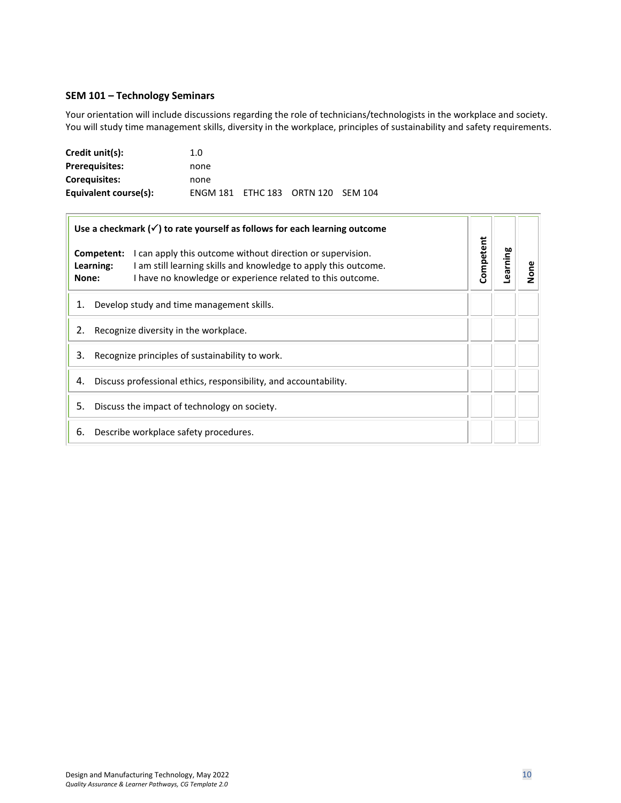### <span id="page-9-0"></span>**SEM 101 – Technology Seminars**

 $\overline{1}$ 

Your orientation will include discussions regarding the role of technicians/technologists in the workplace and society. You will study time management skills, diversity in the workplace, principles of sustainability and safety requirements.

| Credit unit(s):       | 1.0                                |  |  |
|-----------------------|------------------------------------|--|--|
| <b>Prerequisites:</b> | none                               |  |  |
| <b>Coreguisites:</b>  | none                               |  |  |
| Equivalent course(s): | ENGM 181 ETHC 183 ORTN 120 SEM 104 |  |  |

| Use a checkmark $(\checkmark)$ to rate yourself as follows for each learning outcome |                                                                                                                                                                                             |           |          |      |
|--------------------------------------------------------------------------------------|---------------------------------------------------------------------------------------------------------------------------------------------------------------------------------------------|-----------|----------|------|
| Competent:<br>Learning:<br>None:                                                     | I can apply this outcome without direction or supervision.<br>I am still learning skills and knowledge to apply this outcome.<br>I have no knowledge or experience related to this outcome. | Competent | Learning | None |
| 1.                                                                                   | Develop study and time management skills.                                                                                                                                                   |           |          |      |
| 2.<br>Recognize diversity in the workplace.                                          |                                                                                                                                                                                             |           |          |      |
| 3.<br>Recognize principles of sustainability to work.                                |                                                                                                                                                                                             |           |          |      |
| Discuss professional ethics, responsibility, and accountability.<br>4.               |                                                                                                                                                                                             |           |          |      |
| 5.<br>Discuss the impact of technology on society.                                   |                                                                                                                                                                                             |           |          |      |
| 6.                                                                                   | Describe workplace safety procedures.                                                                                                                                                       |           |          |      |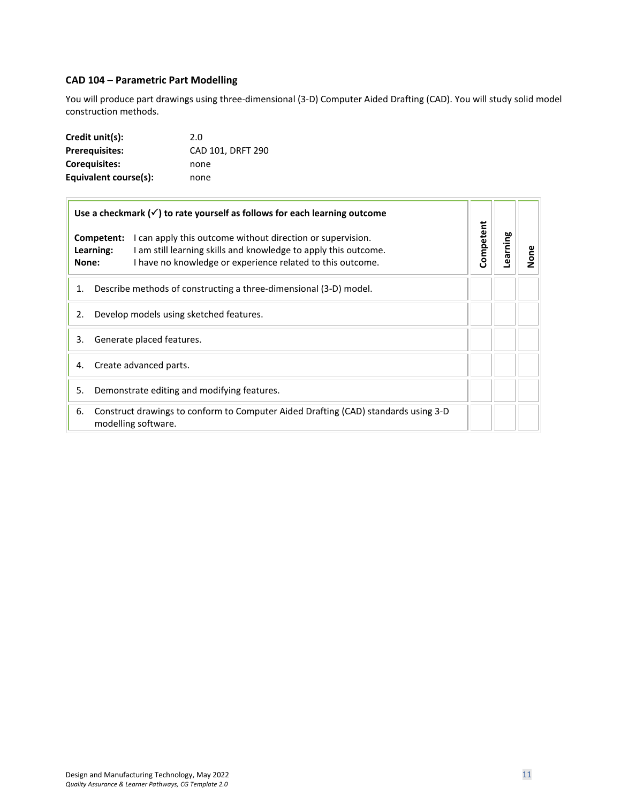# <span id="page-10-0"></span>**CAD 104 – Parametric Part Modelling**

You will produce part drawings using three-dimensional (3-D) Computer Aided Drafting (CAD). You will study solid model construction methods.

| Credit unit(s):       | 2.0               |
|-----------------------|-------------------|
| <b>Prerequisites:</b> | CAD 101. DRFT 290 |
| <b>Corequisites:</b>  | none              |
| Equivalent course(s): | none              |

| Use a checkmark $(\checkmark)$ to rate yourself as follows for each learning outcome                                                                                                                                            |           |          |             |
|---------------------------------------------------------------------------------------------------------------------------------------------------------------------------------------------------------------------------------|-----------|----------|-------------|
| Competent:<br>I can apply this outcome without direction or supervision.<br>Learning:<br>I am still learning skills and knowledge to apply this outcome.<br>I have no knowledge or experience related to this outcome.<br>None: | Competent | Learning | $\tilde{a}$ |
| Describe methods of constructing a three-dimensional (3-D) model.<br>1.                                                                                                                                                         |           |          |             |
| Develop models using sketched features.<br>2.                                                                                                                                                                                   |           |          |             |
| Generate placed features.<br>3.                                                                                                                                                                                                 |           |          |             |
| Create advanced parts.<br>4.                                                                                                                                                                                                    |           |          |             |
| Demonstrate editing and modifying features.<br>5.                                                                                                                                                                               |           |          |             |
| Construct drawings to conform to Computer Aided Drafting (CAD) standards using 3-D<br>6.<br>modelling software.                                                                                                                 |           |          |             |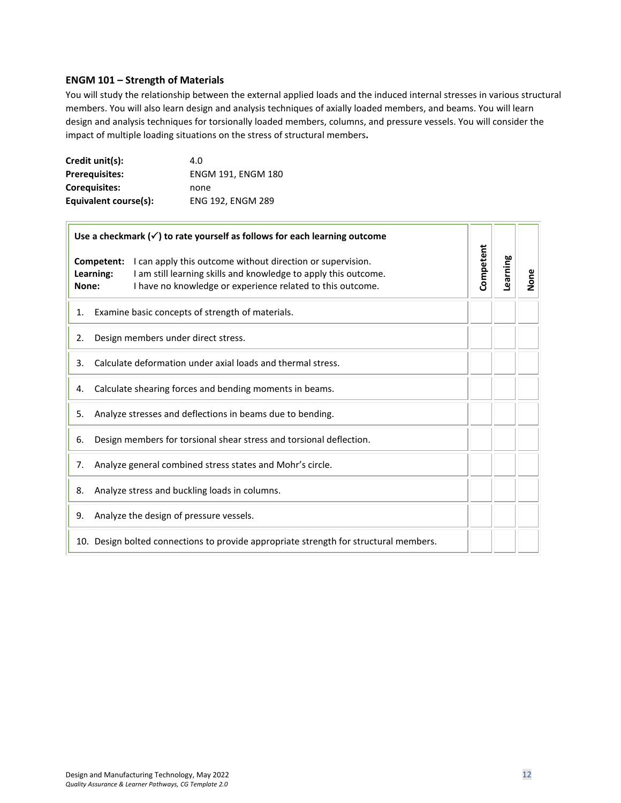#### <span id="page-11-0"></span>**ENGM 101 – Strength of Materials**

You will study the relationship between the external applied loads and the induced internal stresses in various structural members. You will also learn design and analysis techniques of axially loaded members, and beams. You will learn design and analysis techniques for torsionally loaded members, columns, and pressure vessels. You will consider the impact of multiple loading situations on the stress of structural members**.**

| Credit unit(s):       | 4.0                       |
|-----------------------|---------------------------|
| <b>Prerequisites:</b> | <b>ENGM 191, ENGM 180</b> |
| <b>Corequisites:</b>  | none                      |
| Equivalent course(s): | <b>ENG 192. ENGM 289</b>  |

|                                                                           | Use a checkmark $(\checkmark)$ to rate yourself as follows for each learning outcome |                                                                                                                                                                                             |           |          |      |
|---------------------------------------------------------------------------|--------------------------------------------------------------------------------------|---------------------------------------------------------------------------------------------------------------------------------------------------------------------------------------------|-----------|----------|------|
| Learning:<br>None:                                                        | Competent:                                                                           | I can apply this outcome without direction or supervision.<br>I am still learning skills and knowledge to apply this outcome.<br>I have no knowledge or experience related to this outcome. | Competent | Learning | None |
| 1.                                                                        |                                                                                      | Examine basic concepts of strength of materials.                                                                                                                                            |           |          |      |
| 2.                                                                        |                                                                                      | Design members under direct stress.                                                                                                                                                         |           |          |      |
| 3.                                                                        |                                                                                      | Calculate deformation under axial loads and thermal stress.                                                                                                                                 |           |          |      |
| Calculate shearing forces and bending moments in beams.<br>4.             |                                                                                      |                                                                                                                                                                                             |           |          |      |
| 5.                                                                        |                                                                                      | Analyze stresses and deflections in beams due to bending.                                                                                                                                   |           |          |      |
| Design members for torsional shear stress and torsional deflection.<br>6. |                                                                                      |                                                                                                                                                                                             |           |          |      |
| Analyze general combined stress states and Mohr's circle.<br>7.           |                                                                                      |                                                                                                                                                                                             |           |          |      |
| Analyze stress and buckling loads in columns.<br>8.                       |                                                                                      |                                                                                                                                                                                             |           |          |      |
| 9.                                                                        |                                                                                      | Analyze the design of pressure vessels.                                                                                                                                                     |           |          |      |
|                                                                           |                                                                                      | 10. Design bolted connections to provide appropriate strength for structural members.                                                                                                       |           |          |      |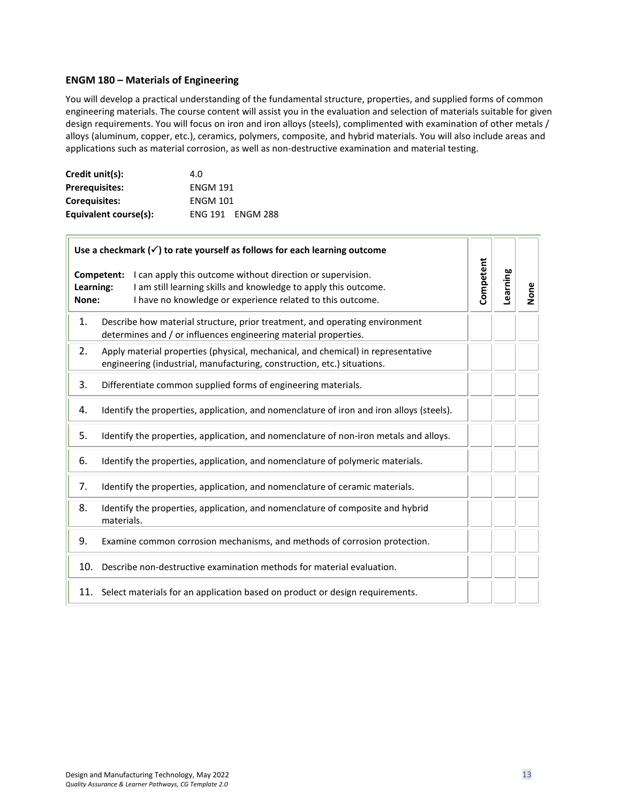#### <span id="page-12-0"></span>**ENGM 180 – Materials of Engineering**

You will develop a practical understanding of the fundamental structure, properties, and supplied forms of common engineering materials. The course content will assist you in the evaluation and selection of materials suitable for given design requirements. You will focus on iron and iron alloys (steels), complimented with examination of other metals / alloys (aluminum, copper, etc.), ceramics, polymers, composite, and hybrid materials. You will also include areas and applications such as material corrosion, as well as non-destructive examination and material testing.

| Credit unit(s):       | 4.0             |                         |  |
|-----------------------|-----------------|-------------------------|--|
| <b>Prerequisites:</b> | <b>ENGM 191</b> |                         |  |
| <b>Coreguisites:</b>  | <b>ENGM 101</b> |                         |  |
| Equivalent course(s): |                 | <b>ENG 191 ENGM 288</b> |  |

 $\Box$ 

| Use a checkmark $(\checkmark)$ to rate yourself as follows for each learning outcome |                                                                                                                                                                                                           |           |          |      |
|--------------------------------------------------------------------------------------|-----------------------------------------------------------------------------------------------------------------------------------------------------------------------------------------------------------|-----------|----------|------|
| Learning:<br>None:                                                                   | I can apply this outcome without direction or supervision.<br>Competent:<br>I am still learning skills and knowledge to apply this outcome.<br>I have no knowledge or experience related to this outcome. | Competent | Learning | None |
| 1.                                                                                   | Describe how material structure, prior treatment, and operating environment<br>determines and / or influences engineering material properties.                                                            |           |          |      |
| 2.                                                                                   | Apply material properties (physical, mechanical, and chemical) in representative<br>engineering (industrial, manufacturing, construction, etc.) situations.                                               |           |          |      |
| 3.                                                                                   | Differentiate common supplied forms of engineering materials.                                                                                                                                             |           |          |      |
| 4.                                                                                   | Identify the properties, application, and nomenclature of iron and iron alloys (steels).                                                                                                                  |           |          |      |
| 5.                                                                                   | Identify the properties, application, and nomenclature of non-iron metals and alloys.                                                                                                                     |           |          |      |
| 6.                                                                                   | Identify the properties, application, and nomenclature of polymeric materials.                                                                                                                            |           |          |      |
| 7.                                                                                   | Identify the properties, application, and nomenclature of ceramic materials.                                                                                                                              |           |          |      |
| 8.                                                                                   | Identify the properties, application, and nomenclature of composite and hybrid<br>materials.                                                                                                              |           |          |      |
| 9.                                                                                   | Examine common corrosion mechanisms, and methods of corrosion protection.                                                                                                                                 |           |          |      |
| 10.                                                                                  | Describe non-destructive examination methods for material evaluation.                                                                                                                                     |           |          |      |
|                                                                                      | 11. Select materials for an application based on product or design requirements.                                                                                                                          |           |          |      |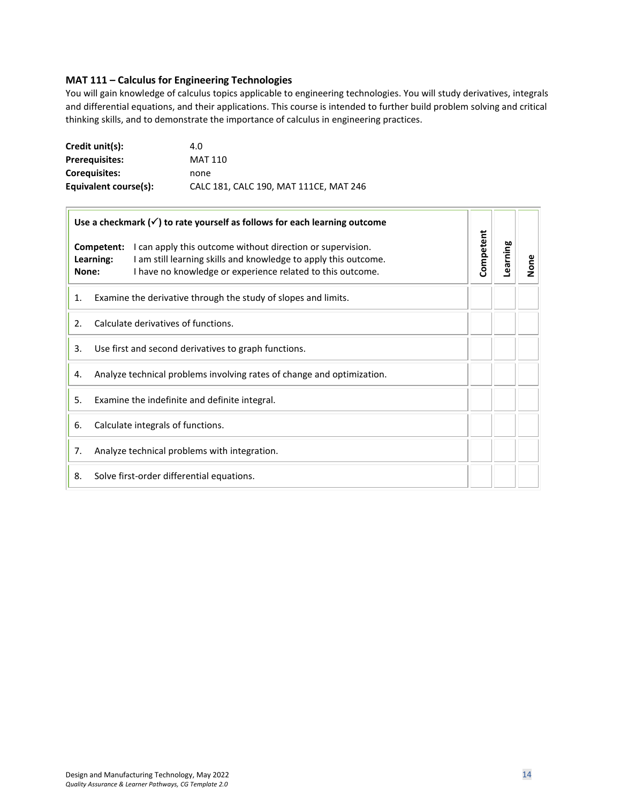#### <span id="page-13-0"></span>**MAT 111 – Calculus for Engineering Technologies**

You will gain knowledge of calculus topics applicable to engineering technologies. You will study derivatives, integrals and differential equations, and their applications. This course is intended to further build problem solving and critical thinking skills, and to demonstrate the importance of calculus in engineering practices.

| Credit unit(s):       | 4.0                                    |
|-----------------------|----------------------------------------|
| <b>Prerequisites:</b> | MAT 110                                |
| <b>Corequisites:</b>  | none                                   |
| Equivalent course(s): | CALC 181, CALC 190, MAT 111CE, MAT 246 |

| Use a checkmark $(\checkmark)$ to rate yourself as follows for each learning outcome |                                                                                                                                                                                             |           |          |      |
|--------------------------------------------------------------------------------------|---------------------------------------------------------------------------------------------------------------------------------------------------------------------------------------------|-----------|----------|------|
| Competent:<br>Learning:<br>None:                                                     | I can apply this outcome without direction or supervision.<br>I am still learning skills and knowledge to apply this outcome.<br>I have no knowledge or experience related to this outcome. | Competent | Learning | None |
| 1.                                                                                   | Examine the derivative through the study of slopes and limits.                                                                                                                              |           |          |      |
| 2.                                                                                   | Calculate derivatives of functions.                                                                                                                                                         |           |          |      |
| Use first and second derivatives to graph functions.<br>3.                           |                                                                                                                                                                                             |           |          |      |
| 4.                                                                                   | Analyze technical problems involving rates of change and optimization.                                                                                                                      |           |          |      |
| 5.<br>Examine the indefinite and definite integral.                                  |                                                                                                                                                                                             |           |          |      |
| 6.                                                                                   | Calculate integrals of functions.                                                                                                                                                           |           |          |      |
| 7.                                                                                   | Analyze technical problems with integration.                                                                                                                                                |           |          |      |
| 8.                                                                                   | Solve first-order differential equations.                                                                                                                                                   |           |          |      |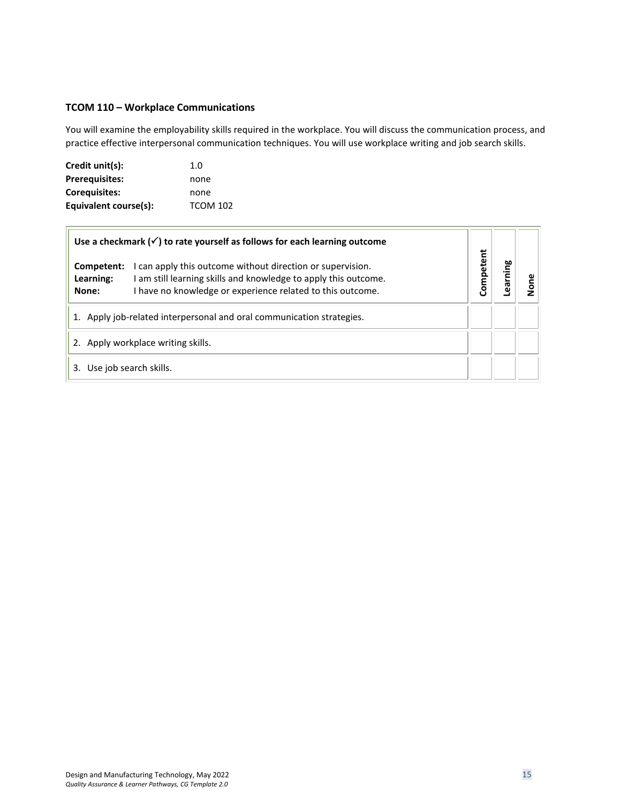#### <span id="page-14-0"></span>**TCOM 110 – Workplace Communications**

You will examine the employability skills required in the workplace. You will discuss the communication process, and practice effective interpersonal communication techniques. You will use workplace writing and job search skills.

| Credit unit(s):       | 1. $\Omega$     |
|-----------------------|-----------------|
| <b>Prerequisites:</b> | none            |
| <b>Corequisites:</b>  | none            |
| Equivalent course(s): | <b>TCOM 102</b> |

 $\overline{r}$ 

| Use a checkmark $(\checkmark)$ to rate yourself as follows for each learning outcome                                                                                                                                            |           |         |     |
|---------------------------------------------------------------------------------------------------------------------------------------------------------------------------------------------------------------------------------|-----------|---------|-----|
| I can apply this outcome without direction or supervision.<br>Competent:<br>I am still learning skills and knowledge to apply this outcome.<br>Learning:<br>I have no knowledge or experience related to this outcome.<br>None: | Competent | earning | gno |
| Apply job-related interpersonal and oral communication strategies.<br>1.                                                                                                                                                        |           |         |     |
| 2. Apply workplace writing skills.                                                                                                                                                                                              |           |         |     |
| Use job search skills.<br>3.                                                                                                                                                                                                    |           |         |     |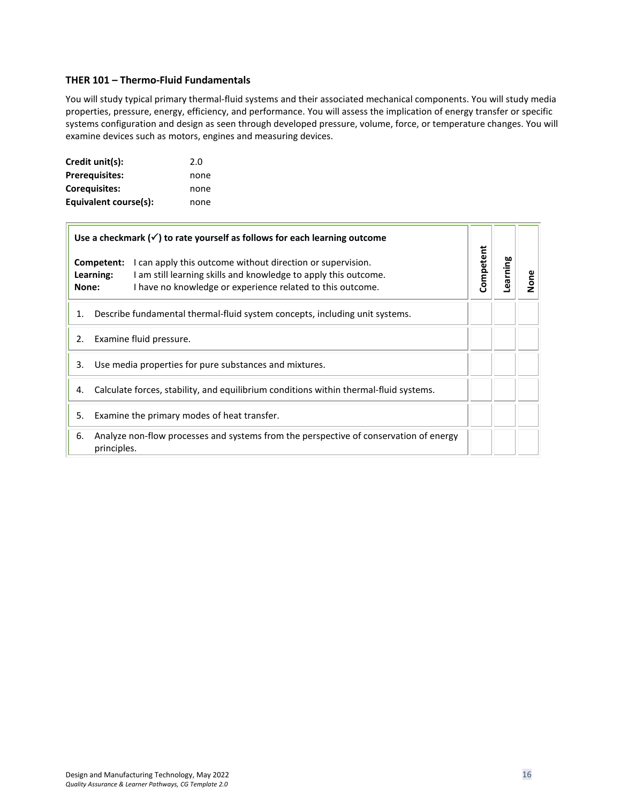#### <span id="page-15-0"></span>**THER 101 – Thermo-Fluid Fundamentals**

You will study typical primary thermal-fluid systems and their associated mechanical components. You will study media properties, pressure, energy, efficiency, and performance. You will assess the implication of energy transfer or specific systems configuration and design as seen through developed pressure, volume, force, or temperature changes. You will examine devices such as motors, engines and measuring devices.

| Credit unit(s):       | 2.0  |
|-----------------------|------|
| <b>Prerequisites:</b> | none |
| Corequisites:         | none |
| Equivalent course(s): | none |

 $\overline{1}$ 

| Use a checkmark $(\checkmark)$ to rate yourself as follows for each learning outcome |                         |                                                                                                                                                                                             |           |          |      |
|--------------------------------------------------------------------------------------|-------------------------|---------------------------------------------------------------------------------------------------------------------------------------------------------------------------------------------|-----------|----------|------|
| None:                                                                                | Competent:<br>Learning: | I can apply this outcome without direction or supervision.<br>I am still learning skills and knowledge to apply this outcome.<br>I have no knowledge or experience related to this outcome. | Competent | Learning | None |
| 1.                                                                                   |                         | Describe fundamental thermal-fluid system concepts, including unit systems.                                                                                                                 |           |          |      |
| 2.                                                                                   |                         | Examine fluid pressure.                                                                                                                                                                     |           |          |      |
| 3.                                                                                   |                         | Use media properties for pure substances and mixtures.                                                                                                                                      |           |          |      |
| 4.                                                                                   |                         | Calculate forces, stability, and equilibrium conditions within thermal-fluid systems.                                                                                                       |           |          |      |
| 5.                                                                                   |                         | Examine the primary modes of heat transfer.                                                                                                                                                 |           |          |      |
| 6.                                                                                   | principles.             | Analyze non-flow processes and systems from the perspective of conservation of energy                                                                                                       |           |          |      |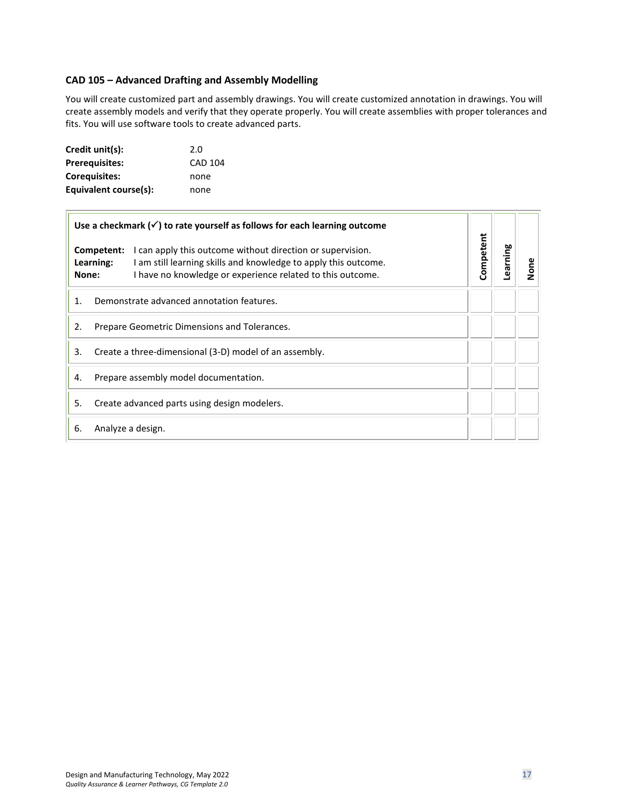# <span id="page-16-0"></span>**CAD 105 – Advanced Drafting and Assembly Modelling**

You will create customized part and assembly drawings. You will create customized annotation in drawings. You will create assembly models and verify that they operate properly. You will create assemblies with proper tolerances and fits. You will use software tools to create advanced parts.

| Credit unit(s):       | 2.0            |
|-----------------------|----------------|
| <b>Prerequisites:</b> | <b>CAD 104</b> |
| Corequisites:         | none           |
| Equivalent course(s): | none           |

| Use a checkmark $(\checkmark)$ to rate yourself as follows for each learning outcome |                         |                                                                                                                                                                                             |           |          |      |
|--------------------------------------------------------------------------------------|-------------------------|---------------------------------------------------------------------------------------------------------------------------------------------------------------------------------------------|-----------|----------|------|
| None:                                                                                | Competent:<br>Learning: | I can apply this outcome without direction or supervision.<br>I am still learning skills and knowledge to apply this outcome.<br>I have no knowledge or experience related to this outcome. | Competent | Learning | None |
| 1.                                                                                   |                         | Demonstrate advanced annotation features.                                                                                                                                                   |           |          |      |
| 2.                                                                                   |                         | Prepare Geometric Dimensions and Tolerances.                                                                                                                                                |           |          |      |
| 3.                                                                                   |                         | Create a three-dimensional (3-D) model of an assembly.                                                                                                                                      |           |          |      |
| 4.                                                                                   |                         | Prepare assembly model documentation.                                                                                                                                                       |           |          |      |
| 5.                                                                                   |                         | Create advanced parts using design modelers.                                                                                                                                                |           |          |      |
| 6.                                                                                   | Analyze a design.       |                                                                                                                                                                                             |           |          |      |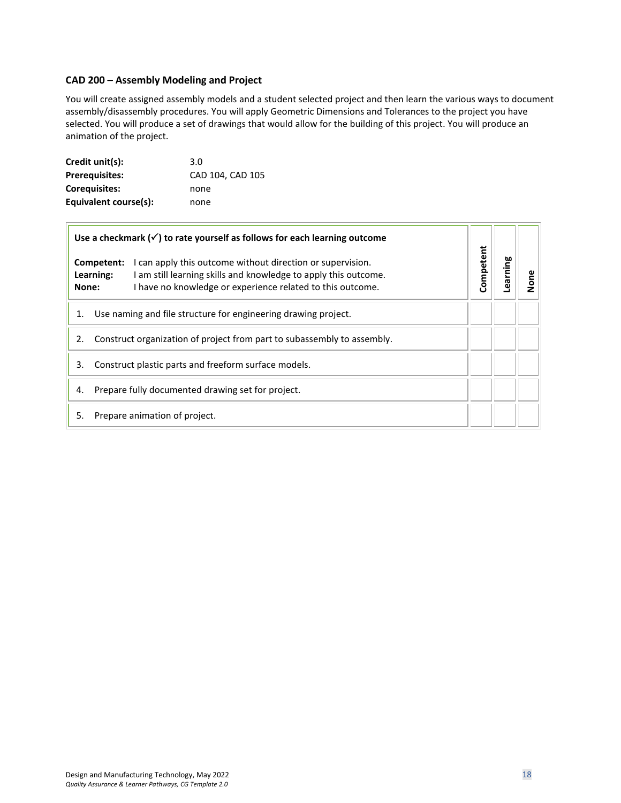#### <span id="page-17-0"></span>**CAD 200 – Assembly Modeling and Project**

You will create assigned assembly models and a student selected project and then learn the various ways to document assembly/disassembly procedures. You will apply Geometric Dimensions and Tolerances to the project you have selected. You will produce a set of drawings that would allow for the building of this project. You will produce an animation of the project.

| Credit unit(s):       | 3.0              |
|-----------------------|------------------|
| <b>Prerequisites:</b> | CAD 104, CAD 105 |
| <b>Corequisites:</b>  | none             |
| Equivalent course(s): | none             |

| Use a checkmark $(\checkmark)$ to rate yourself as follows for each learning outcome                                                                                                                                            |           |         |                      |
|---------------------------------------------------------------------------------------------------------------------------------------------------------------------------------------------------------------------------------|-----------|---------|----------------------|
| Competent:<br>I can apply this outcome without direction or supervision.<br>I am still learning skills and knowledge to apply this outcome.<br>Learning:<br>I have no knowledge or experience related to this outcome.<br>None: | Competent | earning | $\tilde{\mathsf{s}}$ |
| Use naming and file structure for engineering drawing project.<br>1.                                                                                                                                                            |           |         |                      |
| Construct organization of project from part to subassembly to assembly.<br>2.                                                                                                                                                   |           |         |                      |
| Construct plastic parts and freeform surface models.<br>3.                                                                                                                                                                      |           |         |                      |
| Prepare fully documented drawing set for project.<br>4.                                                                                                                                                                         |           |         |                      |
| Prepare animation of project.<br>5.                                                                                                                                                                                             |           |         |                      |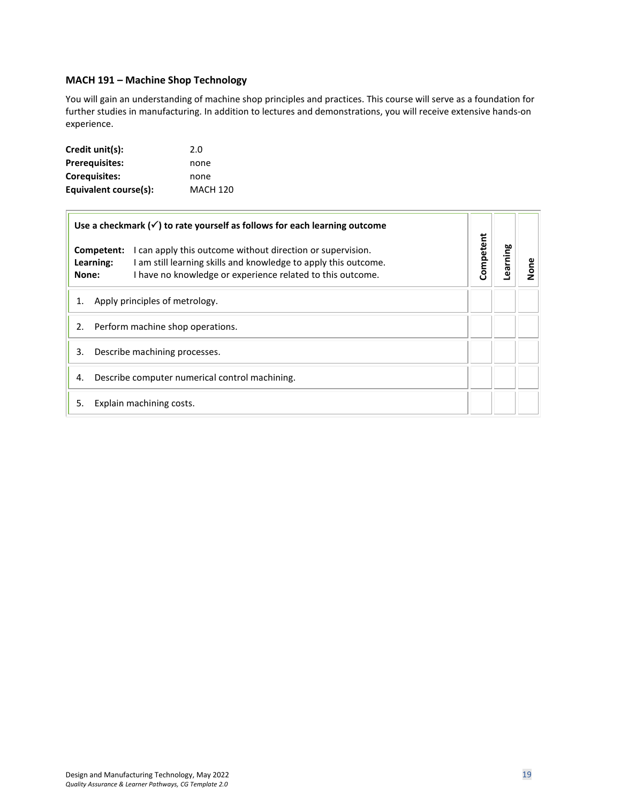#### <span id="page-18-0"></span>**MACH 191 – Machine Shop Technology**

You will gain an understanding of machine shop principles and practices. This course will serve as a foundation for further studies in manufacturing. In addition to lectures and demonstrations, you will receive extensive hands-on experience.

| Credit unit(s):       | 2.0             |
|-----------------------|-----------------|
| <b>Prerequisites:</b> | none            |
| Corequisites:         | none            |
| Equivalent course(s): | <b>MACH 120</b> |

| Use a checkmark $(\checkmark)$ to rate yourself as follows for each learning outcome |                         |                                                                                                                                                                                             |           |         |      |
|--------------------------------------------------------------------------------------|-------------------------|---------------------------------------------------------------------------------------------------------------------------------------------------------------------------------------------|-----------|---------|------|
| None:                                                                                | Competent:<br>Learning: | I can apply this outcome without direction or supervision.<br>I am still learning skills and knowledge to apply this outcome.<br>I have no knowledge or experience related to this outcome. | Competent | earning | None |
| 1.                                                                                   |                         | Apply principles of metrology.                                                                                                                                                              |           |         |      |
| 2.                                                                                   |                         | Perform machine shop operations.                                                                                                                                                            |           |         |      |
| 3.                                                                                   |                         | Describe machining processes.                                                                                                                                                               |           |         |      |
| 4.                                                                                   |                         | Describe computer numerical control machining.                                                                                                                                              |           |         |      |
| 5.                                                                                   |                         | Explain machining costs.                                                                                                                                                                    |           |         |      |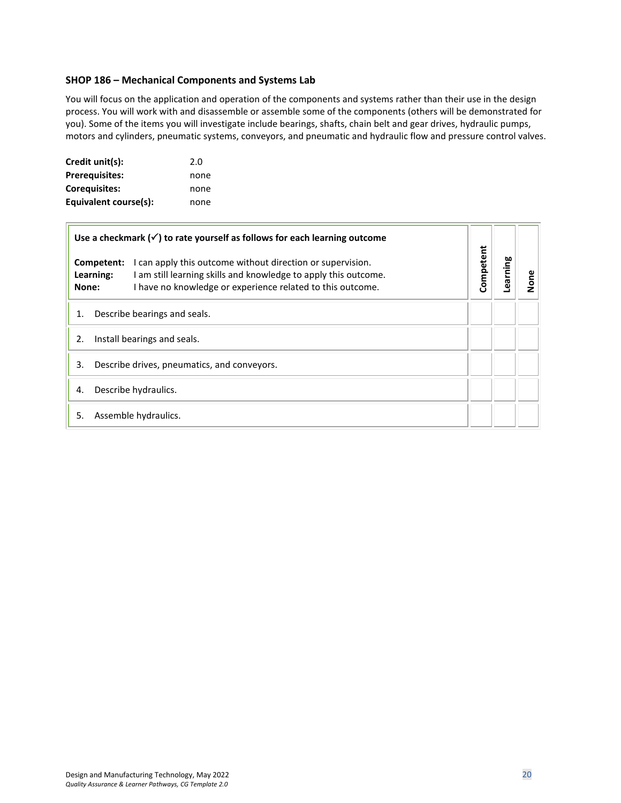#### <span id="page-19-0"></span>**SHOP 186 – Mechanical Components and Systems Lab**

You will focus on the application and operation of the components and systems rather than their use in the design process. You will work with and disassemble or assemble some of the components (others will be demonstrated for you). Some of the items you will investigate include bearings, shafts, chain belt and gear drives, hydraulic pumps, motors and cylinders, pneumatic systems, conveyors, and pneumatic and hydraulic flow and pressure control valves.

| Credit unit(s):       | 2.0  |
|-----------------------|------|
| <b>Prerequisites:</b> | none |
| <b>Corequisites:</b>  | none |
| Equivalent course(s): | none |

| Use a checkmark $(\checkmark)$ to rate yourself as follows for each learning outcome |                                                                                                                                                                                             |           |          |      |
|--------------------------------------------------------------------------------------|---------------------------------------------------------------------------------------------------------------------------------------------------------------------------------------------|-----------|----------|------|
| Competent:<br>Learning:<br>None:                                                     | I can apply this outcome without direction or supervision.<br>I am still learning skills and knowledge to apply this outcome.<br>I have no knowledge or experience related to this outcome. | Competent | Learning | None |
| 1.                                                                                   | Describe bearings and seals.                                                                                                                                                                |           |          |      |
| 2.                                                                                   | Install bearings and seals.                                                                                                                                                                 |           |          |      |
| 3.                                                                                   | Describe drives, pneumatics, and conveyors.                                                                                                                                                 |           |          |      |
| 4.                                                                                   | Describe hydraulics.                                                                                                                                                                        |           |          |      |
| 5.                                                                                   | Assemble hydraulics.                                                                                                                                                                        |           |          |      |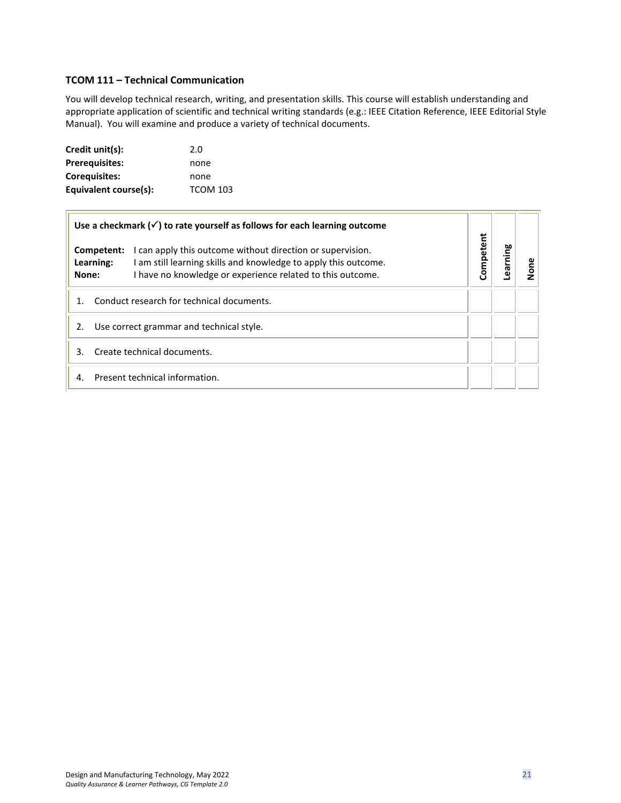#### <span id="page-20-0"></span>**TCOM 111 – Technical Communication**

You will develop technical research, writing, and presentation skills. This course will establish understanding and appropriate application of scientific and technical writing standards (e.g.: IEEE Citation Reference, IEEE Editorial Style Manual). You will examine and produce a variety of technical documents.

| Credit unit(s):       | 2.0             |
|-----------------------|-----------------|
| <b>Prerequisites:</b> | none            |
| Corequisites:         | none            |
| Equivalent course(s): | <b>TCOM 103</b> |

| Use a checkmark $(\checkmark)$ to rate yourself as follows for each learning outcome                                                                                                                                            |           |         |      |
|---------------------------------------------------------------------------------------------------------------------------------------------------------------------------------------------------------------------------------|-----------|---------|------|
| I can apply this outcome without direction or supervision.<br>Competent:<br>I am still learning skills and knowledge to apply this outcome.<br>Learning:<br>I have no knowledge or experience related to this outcome.<br>None: | Competent | earning | lone |
| Conduct research for technical documents.                                                                                                                                                                                       |           |         |      |
| Use correct grammar and technical style.<br>2.                                                                                                                                                                                  |           |         |      |
| Create technical documents.<br>3                                                                                                                                                                                                |           |         |      |
| Present technical information.<br>4.                                                                                                                                                                                            |           |         |      |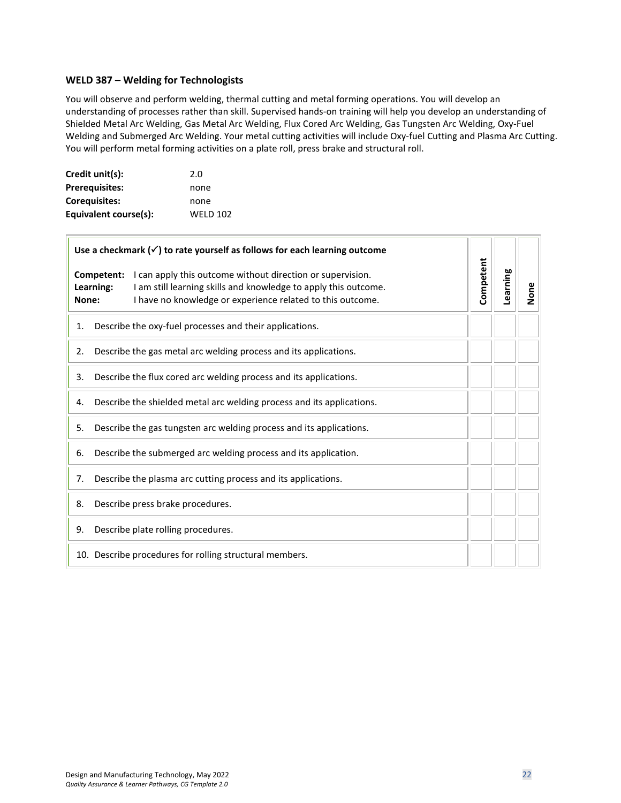#### <span id="page-21-0"></span>**WELD 387 – Welding for Technologists**

You will observe and perform welding, thermal cutting and metal forming operations. You will develop an understanding of processes rather than skill. Supervised hands-on training will help you develop an understanding of Shielded Metal Arc Welding, Gas Metal Arc Welding, Flux Cored Arc Welding, Gas Tungsten Arc Welding, Oxy-Fuel Welding and Submerged Arc Welding. Your metal cutting activities will include Oxy-fuel Cutting and Plasma Arc Cutting. You will perform metal forming activities on a plate roll, press brake and structural roll.

| Credit unit(s):       | 2.0             |
|-----------------------|-----------------|
| <b>Prerequisites:</b> | none            |
| <b>Corequisites:</b>  | none            |
| Equivalent course(s): | <b>WELD 102</b> |

| Use a checkmark $(\checkmark)$ to rate yourself as follows for each learning outcome |                         |                                                                                                                                                                                             |           |          |      |
|--------------------------------------------------------------------------------------|-------------------------|---------------------------------------------------------------------------------------------------------------------------------------------------------------------------------------------|-----------|----------|------|
| None:                                                                                | Competent:<br>Learning: | I can apply this outcome without direction or supervision.<br>I am still learning skills and knowledge to apply this outcome.<br>I have no knowledge or experience related to this outcome. | Competent | Learning | None |
| 1.                                                                                   |                         | Describe the oxy-fuel processes and their applications.                                                                                                                                     |           |          |      |
| 2.                                                                                   |                         | Describe the gas metal arc welding process and its applications.                                                                                                                            |           |          |      |
| 3.                                                                                   |                         | Describe the flux cored arc welding process and its applications.                                                                                                                           |           |          |      |
| 4.                                                                                   |                         | Describe the shielded metal arc welding process and its applications.                                                                                                                       |           |          |      |
| 5.                                                                                   |                         | Describe the gas tungsten arc welding process and its applications.                                                                                                                         |           |          |      |
| 6.                                                                                   |                         | Describe the submerged arc welding process and its application.                                                                                                                             |           |          |      |
| 7.                                                                                   |                         | Describe the plasma arc cutting process and its applications.                                                                                                                               |           |          |      |
| 8.                                                                                   |                         | Describe press brake procedures.                                                                                                                                                            |           |          |      |
| 9.                                                                                   |                         | Describe plate rolling procedures.                                                                                                                                                          |           |          |      |
|                                                                                      |                         | 10. Describe procedures for rolling structural members.                                                                                                                                     |           |          |      |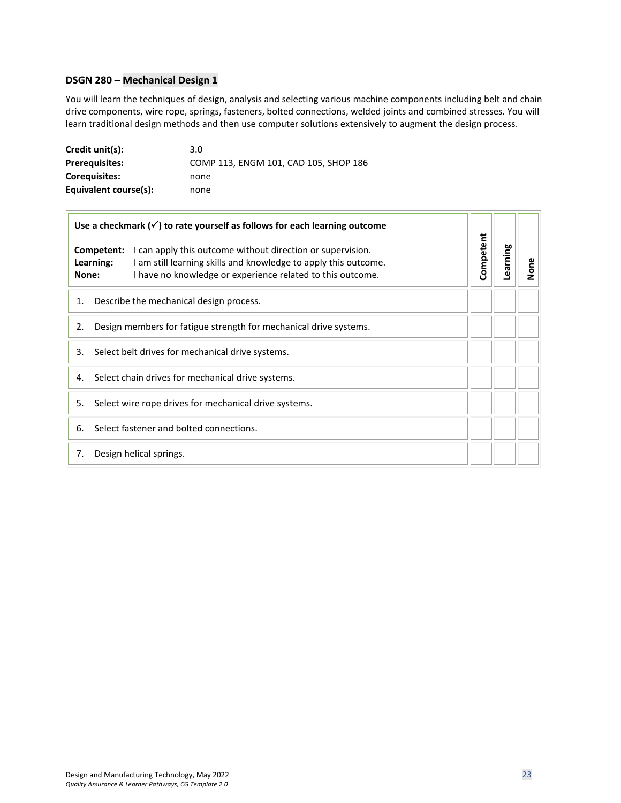#### <span id="page-22-0"></span>**DSGN 280 – Mechanical Design 1**

 $\overline{r}$ 

You will learn the techniques of design, analysis and selecting various machine components including belt and chain drive components, wire rope, springs, fasteners, bolted connections, welded joints and combined stresses. You will learn traditional design methods and then use computer solutions extensively to augment the design process.

| Credit unit(s):       | 3.0                                   |
|-----------------------|---------------------------------------|
| <b>Prerequisites:</b> | COMP 113, ENGM 101, CAD 105, SHOP 186 |
| <b>Coreguisites:</b>  | none                                  |
| Equivalent course(s): | none                                  |

| Use a checkmark $(\checkmark)$ to rate yourself as follows for each learning outcome |                                                                                                                                                                                             |           |          |      |
|--------------------------------------------------------------------------------------|---------------------------------------------------------------------------------------------------------------------------------------------------------------------------------------------|-----------|----------|------|
| Competent:<br>Learning:<br>None:                                                     | I can apply this outcome without direction or supervision.<br>I am still learning skills and knowledge to apply this outcome.<br>I have no knowledge or experience related to this outcome. | Competent | Learning | None |
| 1.                                                                                   | Describe the mechanical design process.                                                                                                                                                     |           |          |      |
| 2.                                                                                   | Design members for fatigue strength for mechanical drive systems.                                                                                                                           |           |          |      |
| 3.                                                                                   | Select belt drives for mechanical drive systems.                                                                                                                                            |           |          |      |
| 4.                                                                                   | Select chain drives for mechanical drive systems.                                                                                                                                           |           |          |      |
| 5.                                                                                   | Select wire rope drives for mechanical drive systems.                                                                                                                                       |           |          |      |
| 6.                                                                                   | Select fastener and bolted connections.                                                                                                                                                     |           |          |      |
| 7.                                                                                   | Design helical springs.                                                                                                                                                                     |           |          |      |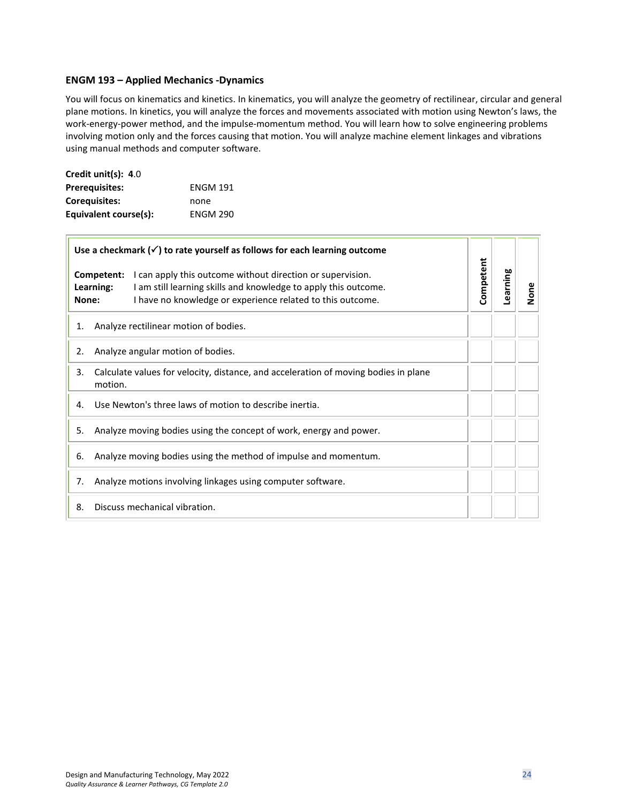#### <span id="page-23-0"></span>**ENGM 193 – Applied Mechanics -Dynamics**

You will focus on kinematics and kinetics. In kinematics, you will analyze the geometry of rectilinear, circular and general plane motions. In kinetics, you will analyze the forces and movements associated with motion using Newton's laws, the work-energy-power method, and the impulse-momentum method. You will learn how to solve engineering problems involving motion only and the forces causing that motion. You will analyze machine element linkages and vibrations using manual methods and computer software.

| Credit unit(s): 4.0   |                 |
|-----------------------|-----------------|
| <b>Prerequisites:</b> | <b>ENGM 191</b> |
| Coreguisites:         | none            |
| Equivalent course(s): | <b>ENGM 290</b> |

| Use a checkmark $(\checkmark)$ to rate yourself as follows for each learning outcome |                         |                                                                                                                                                                                             |           |          |      |
|--------------------------------------------------------------------------------------|-------------------------|---------------------------------------------------------------------------------------------------------------------------------------------------------------------------------------------|-----------|----------|------|
| None:                                                                                | Competent:<br>Learning: | I can apply this outcome without direction or supervision.<br>I am still learning skills and knowledge to apply this outcome.<br>I have no knowledge or experience related to this outcome. | Competent | Learning | None |
| 1.                                                                                   |                         | Analyze rectilinear motion of bodies.                                                                                                                                                       |           |          |      |
| 2.                                                                                   |                         | Analyze angular motion of bodies.                                                                                                                                                           |           |          |      |
| 3.                                                                                   | motion.                 | Calculate values for velocity, distance, and acceleration of moving bodies in plane                                                                                                         |           |          |      |
| 4.                                                                                   |                         | Use Newton's three laws of motion to describe inertia.                                                                                                                                      |           |          |      |
| 5.                                                                                   |                         | Analyze moving bodies using the concept of work, energy and power.                                                                                                                          |           |          |      |
| 6.                                                                                   |                         | Analyze moving bodies using the method of impulse and momentum.                                                                                                                             |           |          |      |
| 7.                                                                                   |                         | Analyze motions involving linkages using computer software.                                                                                                                                 |           |          |      |
| 8.                                                                                   |                         | Discuss mechanical vibration.                                                                                                                                                               |           |          |      |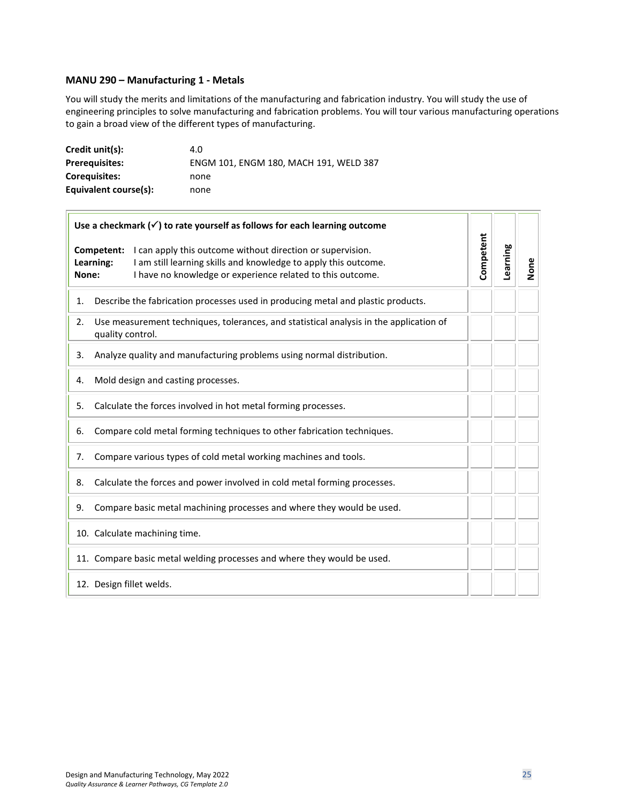#### <span id="page-24-0"></span>**MANU 290 – Manufacturing 1 - Metals**

 $\overline{a}$ 

You will study the merits and limitations of the manufacturing and fabrication industry. You will study the use of engineering principles to solve manufacturing and fabrication problems. You will tour various manufacturing operations to gain a broad view of the different types of manufacturing.

| Credit unit(s):       | 4.0                                    |
|-----------------------|----------------------------------------|
| <b>Prerequisites:</b> | ENGM 101, ENGM 180, MACH 191, WELD 387 |
| Coreguisites:         | none                                   |
| Equivalent course(s): | none                                   |

| Use a checkmark $(\checkmark)$ to rate yourself as follows for each learning outcome |                                                                                                                                                                                                                                 |                                                                                        |           |          |      |
|--------------------------------------------------------------------------------------|---------------------------------------------------------------------------------------------------------------------------------------------------------------------------------------------------------------------------------|----------------------------------------------------------------------------------------|-----------|----------|------|
|                                                                                      | Competent:<br>I can apply this outcome without direction or supervision.<br>I am still learning skills and knowledge to apply this outcome.<br>Learning:<br>I have no knowledge or experience related to this outcome.<br>None: |                                                                                        | Competent | Learning | None |
| 1.                                                                                   |                                                                                                                                                                                                                                 | Describe the fabrication processes used in producing metal and plastic products.       |           |          |      |
| 2.                                                                                   | quality control.                                                                                                                                                                                                                | Use measurement techniques, tolerances, and statistical analysis in the application of |           |          |      |
| 3.                                                                                   |                                                                                                                                                                                                                                 | Analyze quality and manufacturing problems using normal distribution.                  |           |          |      |
| 4.                                                                                   |                                                                                                                                                                                                                                 | Mold design and casting processes.                                                     |           |          |      |
| 5.                                                                                   |                                                                                                                                                                                                                                 | Calculate the forces involved in hot metal forming processes.                          |           |          |      |
| 6.                                                                                   |                                                                                                                                                                                                                                 | Compare cold metal forming techniques to other fabrication techniques.                 |           |          |      |
| 7.                                                                                   |                                                                                                                                                                                                                                 | Compare various types of cold metal working machines and tools.                        |           |          |      |
| 8.                                                                                   |                                                                                                                                                                                                                                 | Calculate the forces and power involved in cold metal forming processes.               |           |          |      |
| 9.                                                                                   |                                                                                                                                                                                                                                 | Compare basic metal machining processes and where they would be used.                  |           |          |      |
|                                                                                      |                                                                                                                                                                                                                                 | 10. Calculate machining time.                                                          |           |          |      |
|                                                                                      |                                                                                                                                                                                                                                 | 11. Compare basic metal welding processes and where they would be used.                |           |          |      |
|                                                                                      |                                                                                                                                                                                                                                 | 12. Design fillet welds.                                                               |           |          |      |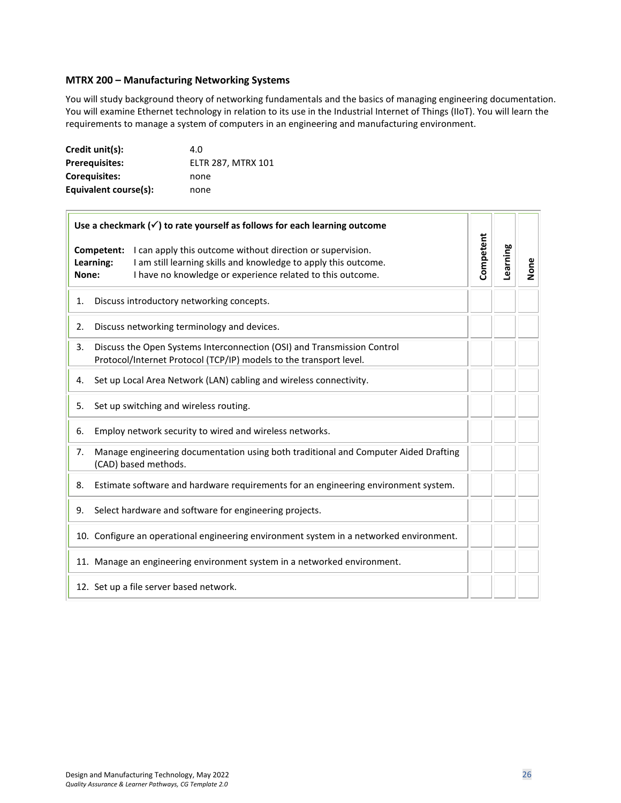#### <span id="page-25-0"></span>**MTRX 200 – Manufacturing Networking Systems**

You will study background theory of networking fundamentals and the basics of managing engineering documentation. You will examine Ethernet technology in relation to its use in the Industrial Internet of Things (IIoT). You will learn the requirements to manage a system of computers in an engineering and manufacturing environment.

| Credit unit(s):       | 4.0                       |
|-----------------------|---------------------------|
| <b>Prerequisites:</b> | <b>ELTR 287, MTRX 101</b> |
| Corequisites:         | none                      |
| Equivalent course(s): | none                      |

|       | Use a checkmark $(\checkmark)$ to rate yourself as follows for each learning outcome                                                                                                                                   |           |          |      |
|-------|------------------------------------------------------------------------------------------------------------------------------------------------------------------------------------------------------------------------|-----------|----------|------|
| None: | I can apply this outcome without direction or supervision.<br>Competent:<br>Learning:<br>I am still learning skills and knowledge to apply this outcome.<br>I have no knowledge or experience related to this outcome. | Competent | Learning | None |
| 1.    | Discuss introductory networking concepts.                                                                                                                                                                              |           |          |      |
| 2.    | Discuss networking terminology and devices.                                                                                                                                                                            |           |          |      |
| 3.    | Discuss the Open Systems Interconnection (OSI) and Transmission Control<br>Protocol/Internet Protocol (TCP/IP) models to the transport level.                                                                          |           |          |      |
| 4.    | Set up Local Area Network (LAN) cabling and wireless connectivity.                                                                                                                                                     |           |          |      |
| 5.    | Set up switching and wireless routing.                                                                                                                                                                                 |           |          |      |
| 6.    | Employ network security to wired and wireless networks.                                                                                                                                                                |           |          |      |
| 7.    | Manage engineering documentation using both traditional and Computer Aided Drafting<br>(CAD) based methods.                                                                                                            |           |          |      |
| 8.    | Estimate software and hardware requirements for an engineering environment system.                                                                                                                                     |           |          |      |
| 9.    | Select hardware and software for engineering projects.                                                                                                                                                                 |           |          |      |
|       | 10. Configure an operational engineering environment system in a networked environment.                                                                                                                                |           |          |      |
|       | 11. Manage an engineering environment system in a networked environment.                                                                                                                                               |           |          |      |
|       | 12. Set up a file server based network.                                                                                                                                                                                |           |          |      |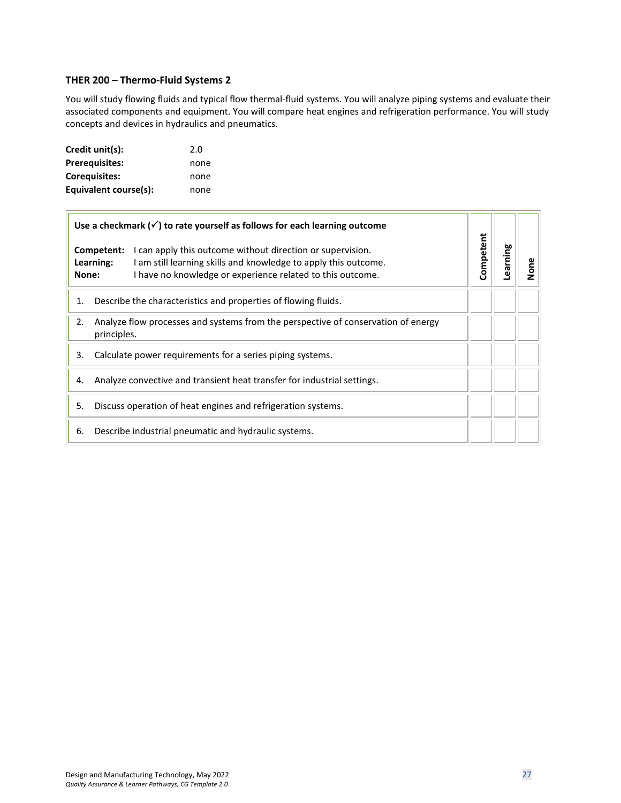#### <span id="page-26-0"></span>**THER 200 – Thermo-Fluid Systems 2**

You will study flowing fluids and typical flow thermal-fluid systems. You will analyze piping systems and evaluate their associated components and equipment. You will compare heat engines and refrigeration performance. You will study concepts and devices in hydraulics and pneumatics.

| Credit unit(s):       | 2.0  |
|-----------------------|------|
| <b>Prerequisites:</b> | none |
| <b>Corequisites:</b>  | none |
| Equivalent course(s): | none |

| Use a checkmark $(\checkmark)$ to rate yourself as follows for each learning outcome                                                                                                                                            |           |         |      |
|---------------------------------------------------------------------------------------------------------------------------------------------------------------------------------------------------------------------------------|-----------|---------|------|
| Competent:<br>I can apply this outcome without direction or supervision.<br>I am still learning skills and knowledge to apply this outcome.<br>Learning:<br>I have no knowledge or experience related to this outcome.<br>None: | Competent | earning | None |
| Describe the characteristics and properties of flowing fluids.<br>1.                                                                                                                                                            |           |         |      |
| Analyze flow processes and systems from the perspective of conservation of energy<br>2.<br>principles.                                                                                                                          |           |         |      |
| Calculate power requirements for a series piping systems.<br>3.                                                                                                                                                                 |           |         |      |
| Analyze convective and transient heat transfer for industrial settings.<br>4.                                                                                                                                                   |           |         |      |
| Discuss operation of heat engines and refrigeration systems.<br>5.                                                                                                                                                              |           |         |      |
| Describe industrial pneumatic and hydraulic systems.<br>6.                                                                                                                                                                      |           |         |      |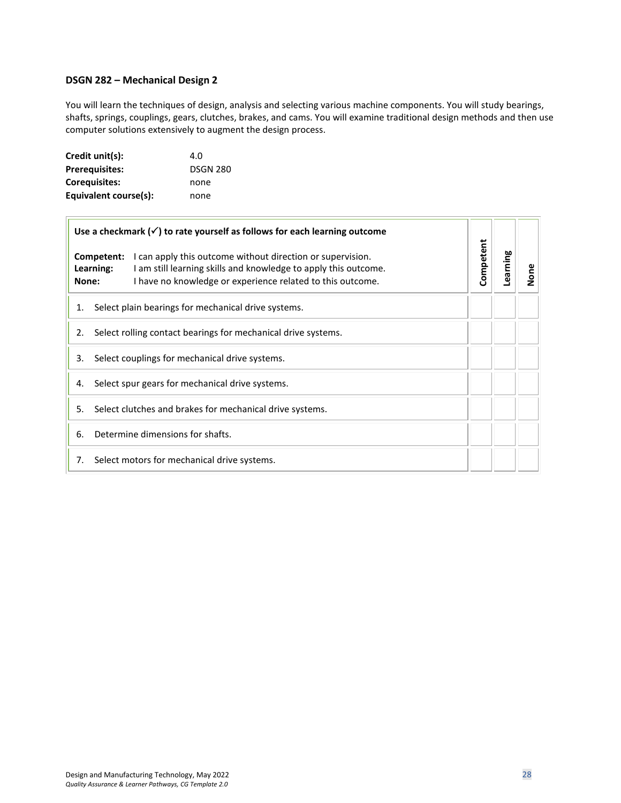#### <span id="page-27-0"></span>**DSGN 282 – Mechanical Design 2**

You will learn the techniques of design, analysis and selecting various machine components. You will study bearings, shafts, springs, couplings, gears, clutches, brakes, and cams. You will examine traditional design methods and then use computer solutions extensively to augment the design process.

| Credit unit(s):       | 4.0             |
|-----------------------|-----------------|
| <b>Prerequisites:</b> | <b>DSGN 280</b> |
| <b>Corequisites:</b>  | none            |
| Equivalent course(s): | none            |

 $\overline{a}$ 

|       | Use a checkmark $(\checkmark)$ to rate yourself as follows for each learning outcome                                                                                                                                   |           |          |      |
|-------|------------------------------------------------------------------------------------------------------------------------------------------------------------------------------------------------------------------------|-----------|----------|------|
| None: | Competent:<br>I can apply this outcome without direction or supervision.<br>Learning:<br>I am still learning skills and knowledge to apply this outcome.<br>I have no knowledge or experience related to this outcome. | Competent | Learning | None |
| 1.    | Select plain bearings for mechanical drive systems.                                                                                                                                                                    |           |          |      |
| 2.    | Select rolling contact bearings for mechanical drive systems.                                                                                                                                                          |           |          |      |
| 3.    | Select couplings for mechanical drive systems.                                                                                                                                                                         |           |          |      |
| 4.    | Select spur gears for mechanical drive systems.                                                                                                                                                                        |           |          |      |
| 5.    | Select clutches and brakes for mechanical drive systems.                                                                                                                                                               |           |          |      |
| 6.    | Determine dimensions for shafts.                                                                                                                                                                                       |           |          |      |
| 7.    | Select motors for mechanical drive systems.                                                                                                                                                                            |           |          |      |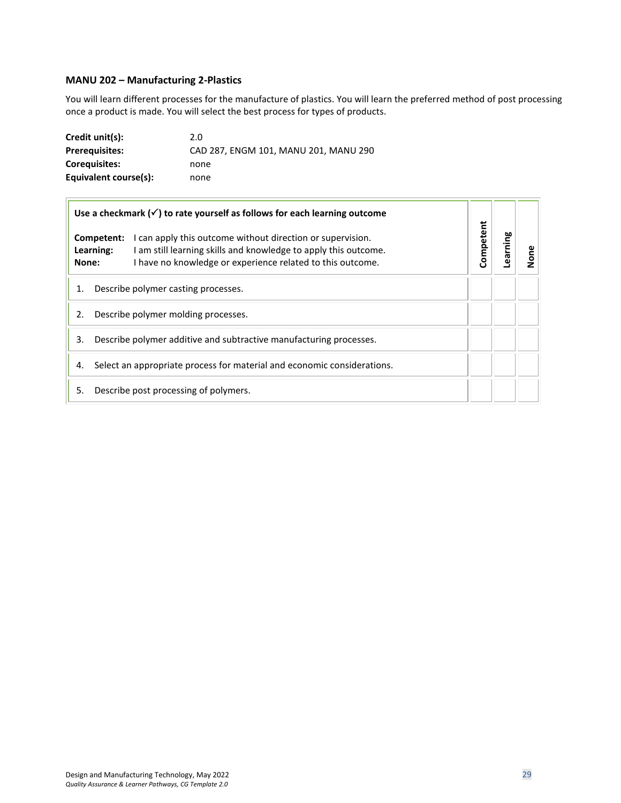# <span id="page-28-0"></span>**MANU 202 – Manufacturing 2-Plastics**

You will learn different processes for the manufacture of plastics. You will learn the preferred method of post processing once a product is made. You will select the best process for types of products.

| Credit unit(s):       | 2.0                                   |
|-----------------------|---------------------------------------|
| <b>Prerequisites:</b> | CAD 287, ENGM 101, MANU 201, MANU 290 |
| <b>Coreguisites:</b>  | none                                  |
| Equivalent course(s): | none                                  |

| Use a checkmark $(\checkmark)$ to rate yourself as follows for each learning outcome                                                                                                                                            |           |         |      |
|---------------------------------------------------------------------------------------------------------------------------------------------------------------------------------------------------------------------------------|-----------|---------|------|
| I can apply this outcome without direction or supervision.<br>Competent:<br>Learning:<br>I am still learning skills and knowledge to apply this outcome.<br>I have no knowledge or experience related to this outcome.<br>None: | Competent | earning | None |
| Describe polymer casting processes.<br>1.                                                                                                                                                                                       |           |         |      |
| Describe polymer molding processes.<br>2.                                                                                                                                                                                       |           |         |      |
| Describe polymer additive and subtractive manufacturing processes.<br>3.                                                                                                                                                        |           |         |      |
| Select an appropriate process for material and economic considerations.<br>4.                                                                                                                                                   |           |         |      |
| Describe post processing of polymers.<br>5.                                                                                                                                                                                     |           |         |      |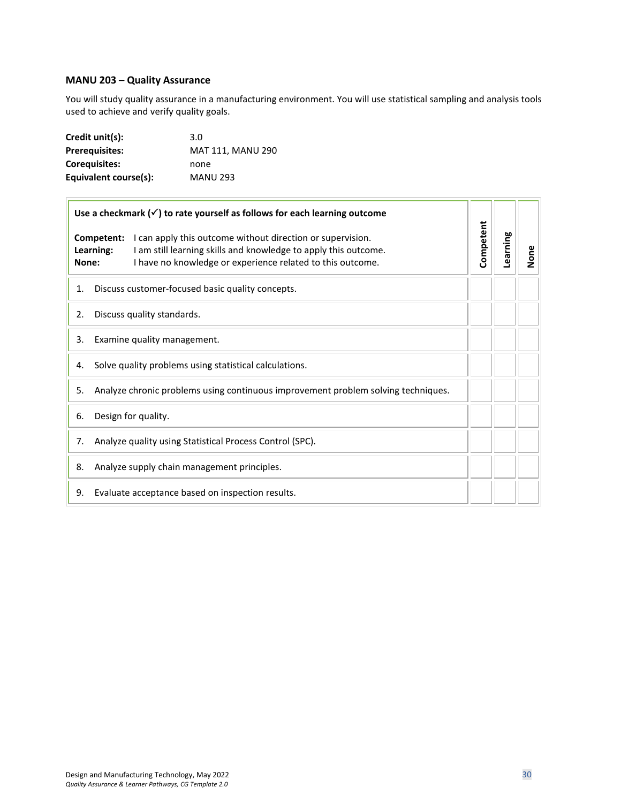#### <span id="page-29-0"></span>**MANU 203 – Quality Assurance**

 $\Box$ 

You will study quality assurance in a manufacturing environment. You will use statistical sampling and analysis tools used to achieve and verify quality goals.

| Credit unit(s):       | 3.0               |
|-----------------------|-------------------|
| <b>Prerequisites:</b> | MAT 111, MANU 290 |
| Coreguisites:         | none              |
| Equivalent course(s): | <b>MANU 293</b>   |

| Use a checkmark $(\checkmark)$ to rate yourself as follows for each learning outcome |                                                                                                                                                                                                           |           |          |      |
|--------------------------------------------------------------------------------------|-----------------------------------------------------------------------------------------------------------------------------------------------------------------------------------------------------------|-----------|----------|------|
| Learning:<br>None:                                                                   | Competent:<br>I can apply this outcome without direction or supervision.<br>I am still learning skills and knowledge to apply this outcome.<br>I have no knowledge or experience related to this outcome. | Competent | Learning | None |
| 1.                                                                                   | Discuss customer-focused basic quality concepts.                                                                                                                                                          |           |          |      |
| 2.                                                                                   | Discuss quality standards.                                                                                                                                                                                |           |          |      |
| 3.                                                                                   | Examine quality management.                                                                                                                                                                               |           |          |      |
| 4.                                                                                   | Solve quality problems using statistical calculations.                                                                                                                                                    |           |          |      |
| 5.                                                                                   | Analyze chronic problems using continuous improvement problem solving techniques.                                                                                                                         |           |          |      |
| 6.                                                                                   | Design for quality.                                                                                                                                                                                       |           |          |      |
| 7.                                                                                   | Analyze quality using Statistical Process Control (SPC).                                                                                                                                                  |           |          |      |
| 8.                                                                                   | Analyze supply chain management principles.                                                                                                                                                               |           |          |      |
| 9.                                                                                   | Evaluate acceptance based on inspection results.                                                                                                                                                          |           |          |      |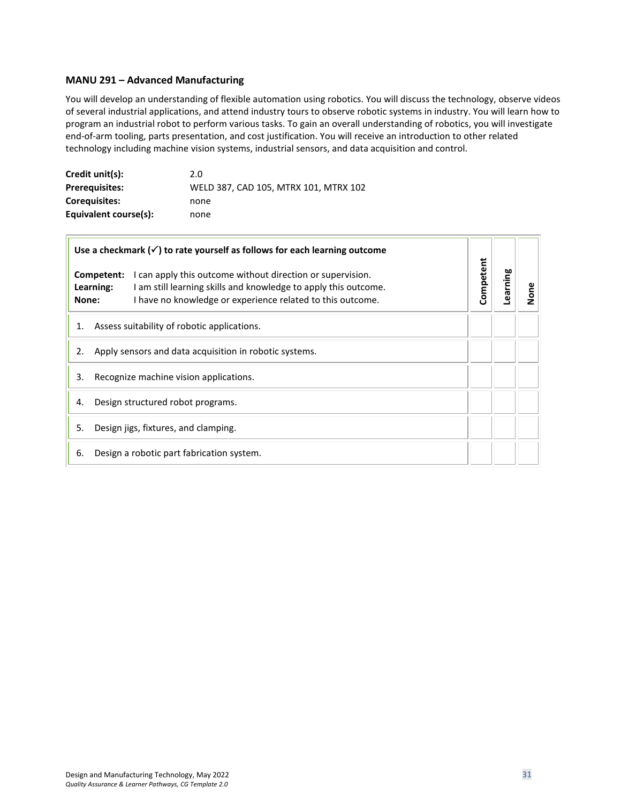#### <span id="page-30-0"></span>**MANU 291 – Advanced Manufacturing**

You will develop an understanding of flexible automation using robotics. You will discuss the technology, observe videos of several industrial applications, and attend industry tours to observe robotic systems in industry. You will learn how to program an industrial robot to perform various tasks. To gain an overall understanding of robotics, you will investigate end-of-arm tooling, parts presentation, and cost justification. You will receive an introduction to other related technology including machine vision systems, industrial sensors, and data acquisition and control.

| Credit unit(s):       | 2.0                                   |
|-----------------------|---------------------------------------|
| <b>Prerequisites:</b> | WELD 387, CAD 105, MTRX 101, MTRX 102 |
| <b>Coreguisites:</b>  | none                                  |
| Equivalent course(s): | none                                  |

| Use a checkmark $(\checkmark)$ to rate yourself as follows for each learning outcome |                         |                                                                                                                                                                                             |           |          |      |
|--------------------------------------------------------------------------------------|-------------------------|---------------------------------------------------------------------------------------------------------------------------------------------------------------------------------------------|-----------|----------|------|
| None:                                                                                | Competent:<br>Learning: | I can apply this outcome without direction or supervision.<br>I am still learning skills and knowledge to apply this outcome.<br>I have no knowledge or experience related to this outcome. | Competent | Learning | None |
| 1.                                                                                   |                         | Assess suitability of robotic applications.                                                                                                                                                 |           |          |      |
| 2.                                                                                   |                         | Apply sensors and data acquisition in robotic systems.                                                                                                                                      |           |          |      |
| 3.                                                                                   |                         | Recognize machine vision applications.                                                                                                                                                      |           |          |      |
| 4.                                                                                   |                         | Design structured robot programs.                                                                                                                                                           |           |          |      |
| 5.                                                                                   |                         | Design jigs, fixtures, and clamping.                                                                                                                                                        |           |          |      |
| 6.                                                                                   |                         | Design a robotic part fabrication system.                                                                                                                                                   |           |          |      |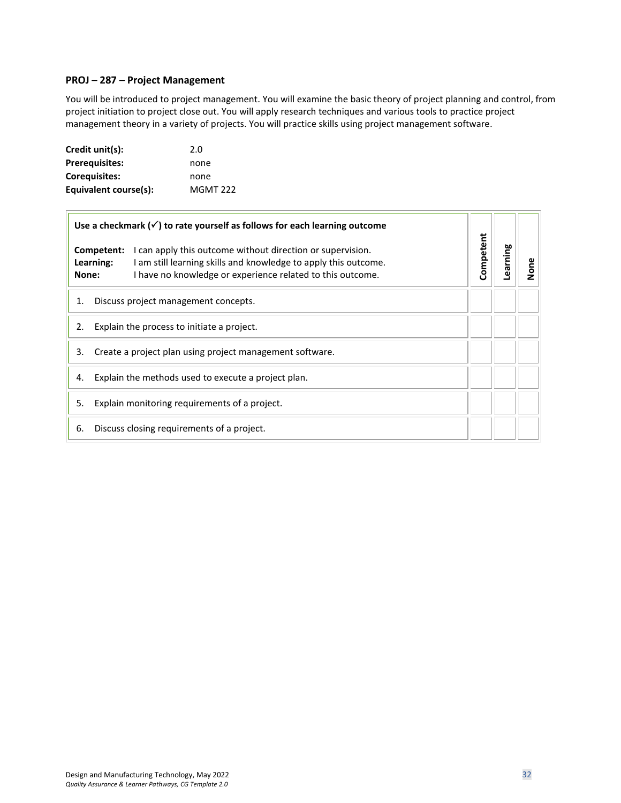#### <span id="page-31-0"></span>**PROJ – 287 – Project Management**

You will be introduced to project management. You will examine the basic theory of project planning and control, from project initiation to project close out. You will apply research techniques and various tools to practice project management theory in a variety of projects. You will practice skills using project management software.

| Credit unit(s):       | 2.0             |
|-----------------------|-----------------|
| Prerequisites:        | none            |
| Corequisites:         | none            |
| Equivalent course(s): | <b>MGMT 222</b> |

| Use a checkmark $(\checkmark)$ to rate yourself as follows for each learning outcome                                                                                                                                            |           |          |      |
|---------------------------------------------------------------------------------------------------------------------------------------------------------------------------------------------------------------------------------|-----------|----------|------|
| Competent:<br>I can apply this outcome without direction or supervision.<br>Learning:<br>I am still learning skills and knowledge to apply this outcome.<br>I have no knowledge or experience related to this outcome.<br>None: | Competent | Learning | None |
| Discuss project management concepts.<br>1.                                                                                                                                                                                      |           |          |      |
| Explain the process to initiate a project.<br>2.                                                                                                                                                                                |           |          |      |
| 3.<br>Create a project plan using project management software.                                                                                                                                                                  |           |          |      |
| Explain the methods used to execute a project plan.<br>4.                                                                                                                                                                       |           |          |      |
| Explain monitoring requirements of a project.<br>5.                                                                                                                                                                             |           |          |      |
| 6.<br>Discuss closing requirements of a project.                                                                                                                                                                                |           |          |      |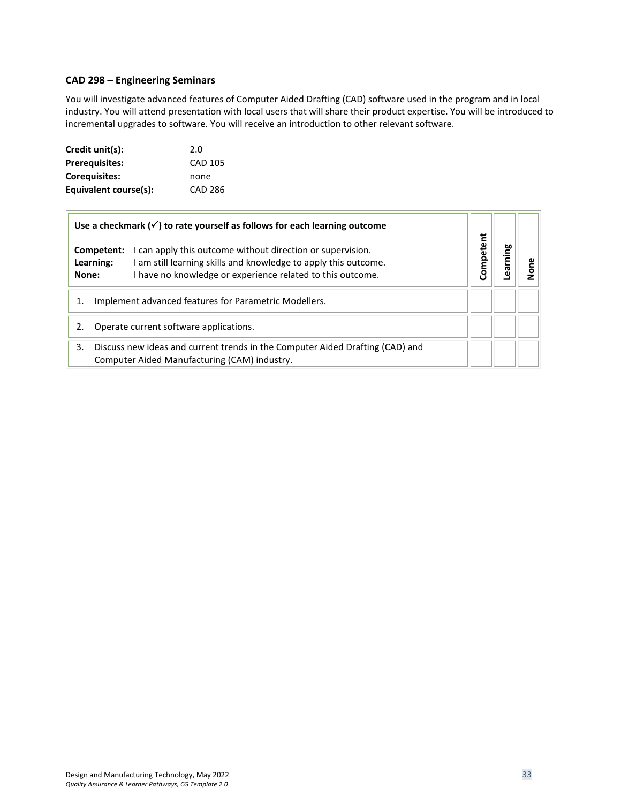#### <span id="page-32-0"></span>**CAD 298 – Engineering Seminars**

You will investigate advanced features of Computer Aided Drafting (CAD) software used in the program and in local industry. You will attend presentation with local users that will share their product expertise. You will be introduced to incremental upgrades to software. You will receive an introduction to other relevant software.

| Credit unit(s):       | 2.0            |
|-----------------------|----------------|
| <b>Prerequisites:</b> | CAD 105        |
| Corequisites:         | none           |
| Equivalent course(s): | <b>CAD 286</b> |

|       |                         | Use a checkmark $(\checkmark)$ to rate yourself as follows for each learning outcome                                                                                                        |           |        |  |
|-------|-------------------------|---------------------------------------------------------------------------------------------------------------------------------------------------------------------------------------------|-----------|--------|--|
| None: | Competent:<br>Learning: | I can apply this outcome without direction or supervision.<br>I am still learning skills and knowledge to apply this outcome.<br>I have no knowledge or experience related to this outcome. | Competent | arning |  |
|       |                         | Implement advanced features for Parametric Modellers.                                                                                                                                       |           |        |  |
| 2.    |                         | Operate current software applications.                                                                                                                                                      |           |        |  |
| 3.    |                         | Discuss new ideas and current trends in the Computer Aided Drafting (CAD) and<br>Computer Aided Manufacturing (CAM) industry.                                                               |           |        |  |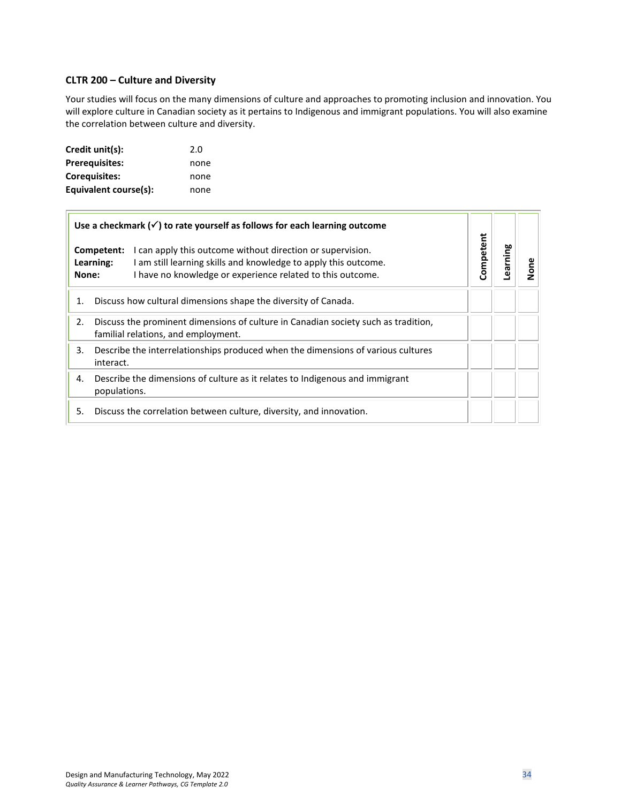#### <span id="page-33-0"></span>**CLTR 200 – Culture and Diversity**

Your studies will focus on the many dimensions of culture and approaches to promoting inclusion and innovation. You will explore culture in Canadian society as it pertains to Indigenous and immigrant populations. You will also examine the correlation between culture and diversity.

| Credit unit(s):       | 2.0  |
|-----------------------|------|
| <b>Prerequisites:</b> | none |
| <b>Corequisites:</b>  | none |
| Equivalent course(s): | none |

|                                  | Use a checkmark $(\checkmark)$ to rate yourself as follows for each learning outcome                                                                                                        | Competent |               |      |
|----------------------------------|---------------------------------------------------------------------------------------------------------------------------------------------------------------------------------------------|-----------|---------------|------|
| Competent:<br>Learning:<br>None: | I can apply this outcome without direction or supervision.<br>I am still learning skills and knowledge to apply this outcome.<br>I have no knowledge or experience related to this outcome. |           | <b>aniuse</b> | None |
| 1.                               | Discuss how cultural dimensions shape the diversity of Canada.                                                                                                                              |           |               |      |
| 2.                               | Discuss the prominent dimensions of culture in Canadian society such as tradition,<br>familial relations, and employment.                                                                   |           |               |      |
| 3.<br>interact.                  | Describe the interrelationships produced when the dimensions of various cultures                                                                                                            |           |               |      |
| 4.<br>populations.               | Describe the dimensions of culture as it relates to Indigenous and immigrant                                                                                                                |           |               |      |
| 5.                               | Discuss the correlation between culture, diversity, and innovation.                                                                                                                         |           |               |      |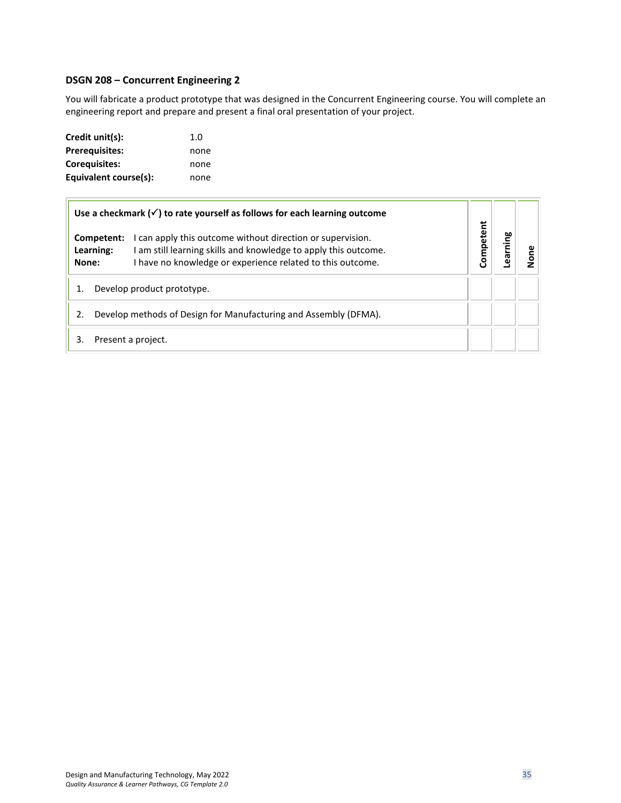#### <span id="page-34-0"></span>**DSGN 208 – Concurrent Engineering 2**

You will fabricate a product prototype that was designed in the Concurrent Engineering course. You will complete an engineering report and prepare and present a final oral presentation of your project.

| Credit unit(s):       | 1. $\Omega$ |
|-----------------------|-------------|
| <b>Prerequisites:</b> | none        |
| <b>Corequisites:</b>  | none        |
| Equivalent course(s): | none        |

|                                                                  |                            | Use a checkmark $(\checkmark)$ to rate yourself as follows for each learning outcome                                                                                                      |           |         |      |
|------------------------------------------------------------------|----------------------------|-------------------------------------------------------------------------------------------------------------------------------------------------------------------------------------------|-----------|---------|------|
| None:                                                            | Competent:<br>Learning:    | I can apply this outcome without direction or supervision.<br>am still learning skills and knowledge to apply this outcome.<br>I have no knowledge or experience related to this outcome. | Competent | earning | lone |
|                                                                  | Develop product prototype. |                                                                                                                                                                                           |           |         |      |
| Develop methods of Design for Manufacturing and Assembly (DFMA). |                            |                                                                                                                                                                                           |           |         |      |
| 3.                                                               |                            | Present a project.                                                                                                                                                                        |           |         |      |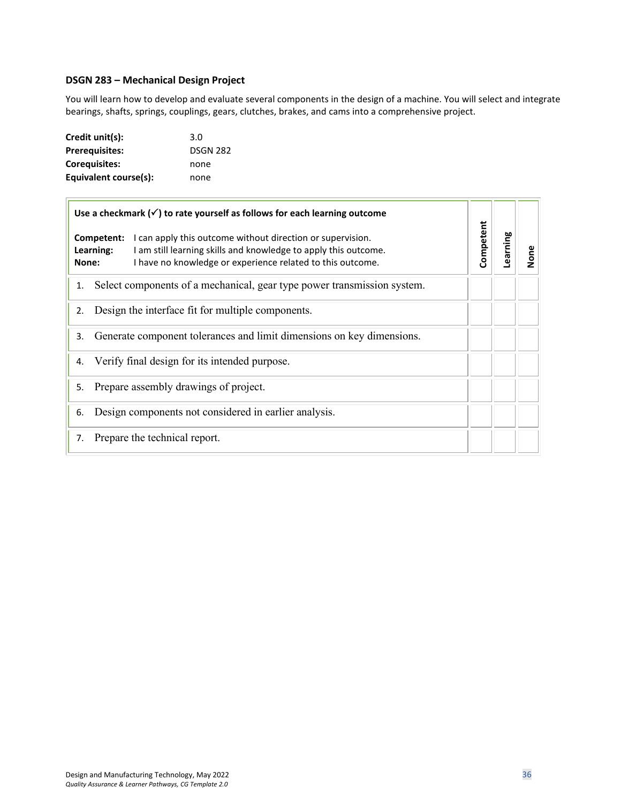#### <span id="page-35-0"></span>**DSGN 283 – Mechanical Design Project**

You will learn how to develop and evaluate several components in the design of a machine. You will select and integrate bearings, shafts, springs, couplings, gears, clutches, brakes, and cams into a comprehensive project.

| Credit unit(s):       | 3.0             |
|-----------------------|-----------------|
| <b>Prerequisites:</b> | <b>DSGN 282</b> |
| Coreguisites:         | none            |
| Equivalent course(s): | none            |

| Learning  | None |
|-----------|------|
|           |      |
|           |      |
|           |      |
|           |      |
|           |      |
|           |      |
|           |      |
| Competent |      |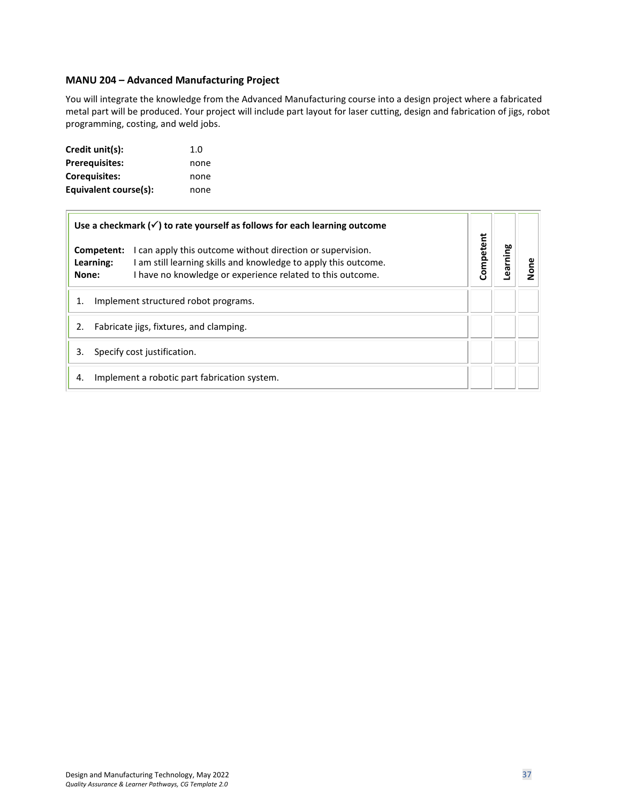#### <span id="page-36-0"></span>**MANU 204 – Advanced Manufacturing Project**

You will integrate the knowledge from the Advanced Manufacturing course into a design project where a fabricated metal part will be produced. Your project will include part layout for laser cutting, design and fabrication of jigs, robot programming, costing, and weld jobs.

| Credit unit(s):       | 1. $\Omega$ |
|-----------------------|-------------|
| <b>Prerequisites:</b> | none        |
| <b>Corequisites:</b>  | none        |
| Equivalent course(s): | none        |

| Use a checkmark $(\checkmark)$ to rate yourself as follows for each learning outcome                                                                                                                                            |           |         |      |
|---------------------------------------------------------------------------------------------------------------------------------------------------------------------------------------------------------------------------------|-----------|---------|------|
| I can apply this outcome without direction or supervision.<br>Competent:<br>I am still learning skills and knowledge to apply this outcome.<br>Learning:<br>I have no knowledge or experience related to this outcome.<br>None: | Competent | earning | lone |
| Implement structured robot programs.                                                                                                                                                                                            |           |         |      |
| Fabricate jigs, fixtures, and clamping.<br>2.                                                                                                                                                                                   |           |         |      |
| Specify cost justification.<br>3.                                                                                                                                                                                               |           |         |      |
| Implement a robotic part fabrication system.<br>4.                                                                                                                                                                              |           |         |      |